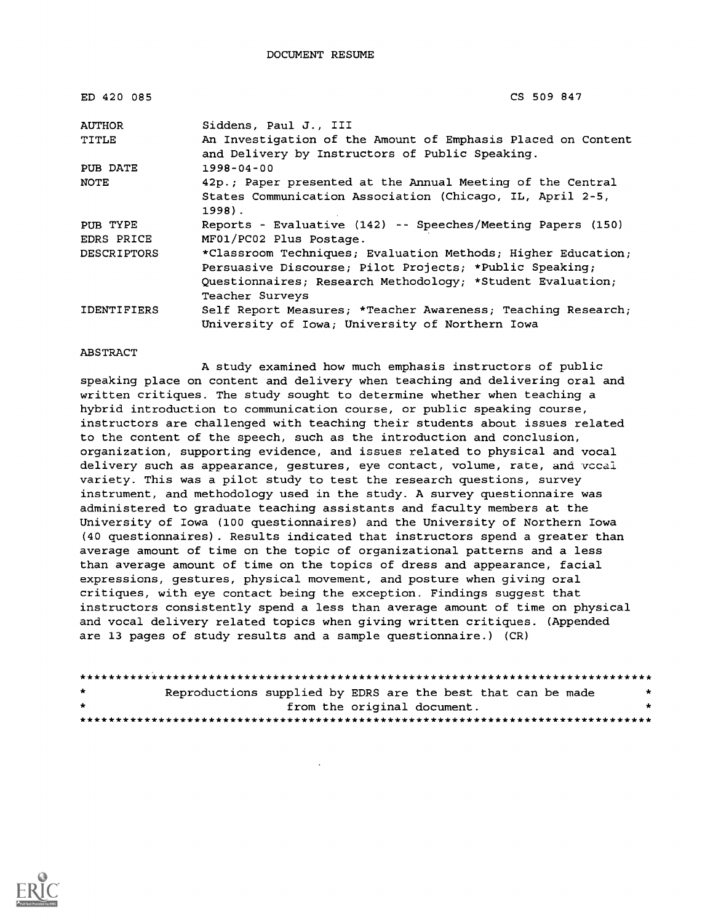| ED 420 085         | CS 509 847                                                                                                      |
|--------------------|-----------------------------------------------------------------------------------------------------------------|
| <b>AUTHOR</b>      | Siddens, Paul J., III                                                                                           |
| TITLE              | An Investigation of the Amount of Emphasis Placed on Content<br>and Delivery by Instructors of Public Speaking. |
| PUB DATE           | $1998 - 04 - 00$                                                                                                |
| NOTE               | 42p.; Paper presented at the Annual Meeting of the Central                                                      |
|                    | States Communication Association (Chicago, IL, April 2-5,<br>$1998$ .                                           |
| PUB TYPE           | Reports - Evaluative (142) -- Speeches/Meeting Papers (150)                                                     |
| EDRS PRICE         | MF01/PC02 Plus Postage.                                                                                         |
| <b>DESCRIPTORS</b> | *Classroom Techniques; Evaluation Methods; Higher Education;                                                    |
|                    | Persuasive Discourse; Pilot Projects; *Public Speaking;                                                         |
|                    | Questionnaires; Research Methodology; *Student Evaluation;                                                      |
|                    | Teacher Surveys                                                                                                 |
| <b>IDENTIFIERS</b> | Self Report Measures; *Teacher Awareness; Teaching Research;                                                    |
|                    | University of Iowa; University of Northern Iowa                                                                 |

#### ABSTRACT

A study examined how much emphasis instructors of public speaking place on content and delivery when teaching and delivering oral and written critiques. The study sought to determine whether when teaching a hybrid introduction to communication course, or public speaking course, instructors are challenged with teaching their students about issues related to the content of the speech, such as the introduction and conclusion, organization, supporting evidence, and issues related to physical and vocal delivery such as appearance, gestures, eye contact, volume, rate, and vccal variety. This was a pilot study to test the research questions, survey instrument, and methodology used in the study. A survey questionnaire was administered to graduate teaching assistants and faculty members at the University of Iowa (100 questionnaires) and the University of Northern Iowa (40 questionnaires). Results indicated that instructors spend a greater than average amount of time on the topic of organizational patterns and a less than average amount of time on the topics of dress and appearance, facial expressions, gestures, physical movement, and posture when giving oral critiques, with eye contact being the exception. Findings suggest that instructors consistently spend a less than average amount of time on physical and vocal delivery related topics when giving written critiques. (Appended are 13 pages of study results and a sample questionnaire.) (CR)

```
********************************************************************************
             Reproductions supplied by EDRS are the best that can be made
from the original document. ********************************************************************************
```
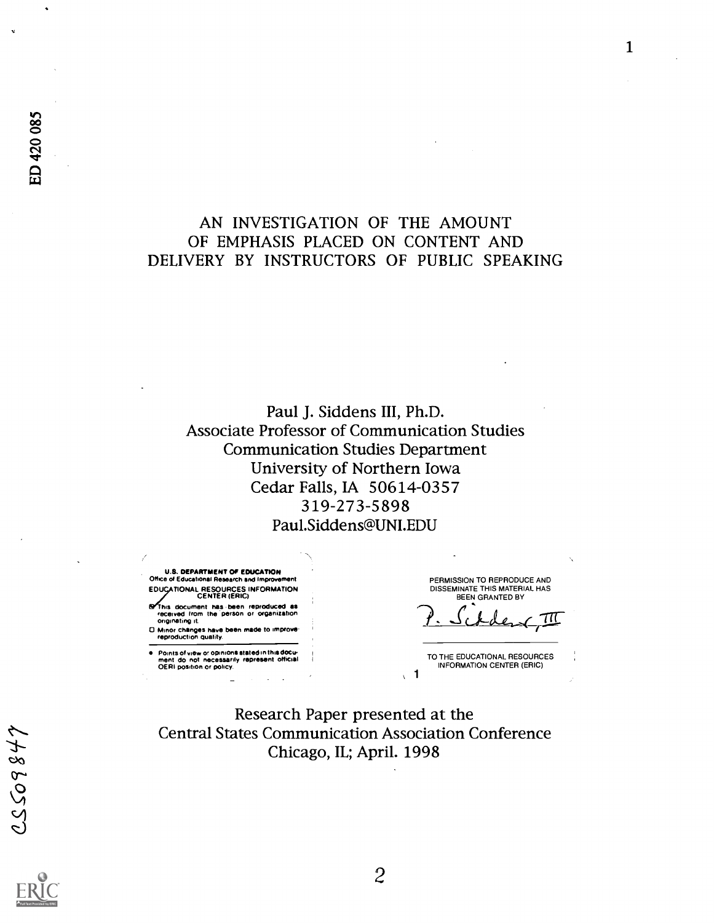## AN INVESTIGATION OF THE AMOUNT OF EMPHASIS PLACED ON CONTENT AND DELIVERY BY INSTRUCTORS OF PUBLIC SPEAKING

Paul J. Siddens III, Ph.D. Associate Professor of Communication Studies Communication Studies Department University of Northern Iowa Cedar Falls, IA 50614-0357 319-273-5898 Paul.Siddens@UNI.EDU

U.S. DEPARTMENT OP EDUCATION Office of Educational Research and Improvement EDUCATIONAL RESOURCES INFORMATION CENTER (ERIC)

**Solid this document has been reproduced as** received from the person or organization originating it

0 Minor changes have been made to improve. reproduction quality.

Points of view or opinions stated in this docu- ment do not necessarily represent official OERI position or policy.

PERMISSION TO REPRODUCE AND DISSEMINATE THIS MATERIAL HAS BEEN GRANTED BY

 $\frac{711}{2}$ 

TO THE EDUCATIONAL RESOURCES INFORMATION CENTER (ERIC)

Research Paper presented at the Central States Communication Association Conference Chicago, IL; April. 1998

1

 $\mathbf{r}$ 

1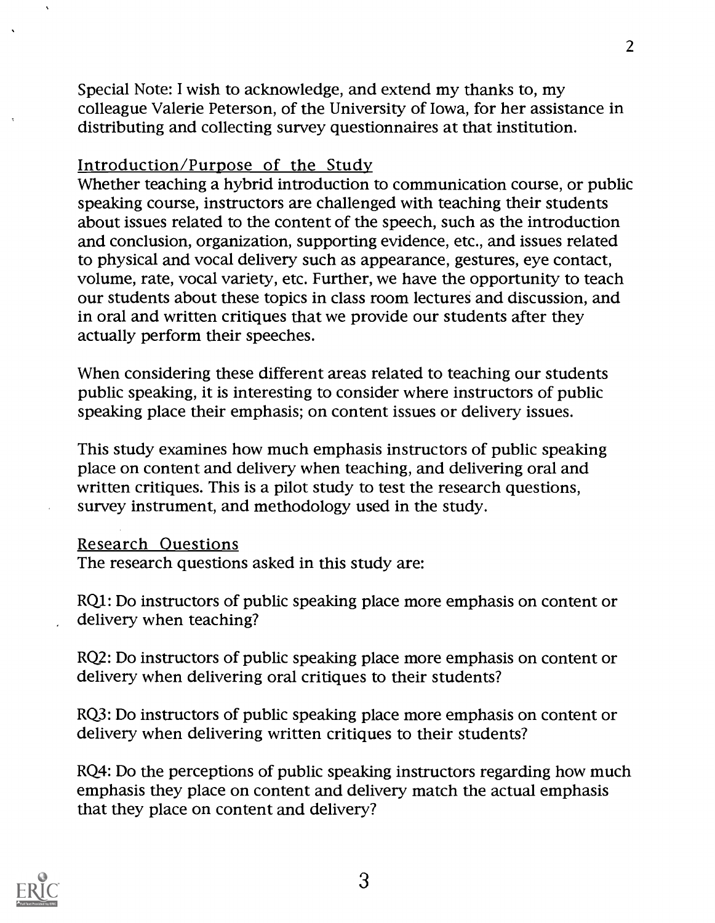Special Note: I wish to acknowledge, and extend my thanks to, my colleague Valerie Peterson, of the University of Iowa, for her assistance in distributing and collecting survey questionnaires at that institution.

### Introduction/Purpose of the Study

Whether teaching a hybrid introduction to communication course, or public speaking course, instructors are challenged with teaching their students about issues related to the content of the speech, such as the introduction and conclusion, organization, supporting evidence, etc., and issues related to physical and vocal delivery such as appearance, gestures, eye contact, volume, rate, vocal variety, etc. Further, we have the opportunity to teach our students about these topics in class room lectures and discussion, and in oral and written critiques that we provide our students after they actually perform their speeches.

When considering these different areas related to teaching our students public speaking, it is interesting to consider where instructors of public speaking place their emphasis; on content issues or delivery issues.

This study examines how much emphasis instructors of public speaking place on content and delivery when teaching, and delivering oral and written critiques. This is a pilot study to test the research questions, survey instrument, and methodology used in the study.

#### Research Questions

The research questions asked in this study are:

RQ1: Do instructors of public speaking place more emphasis on content or delivery when teaching?

RQ2: Do instructors of public speaking place more emphasis on content or delivery when delivering oral critiques to their students?

RQ3: Do instructors of public speaking place more emphasis on content or delivery when delivering written critiques to their students?

RQ4: Do the perceptions of public speaking instructors regarding how much emphasis they place on content and delivery match the actual emphasis that they place on content and delivery?

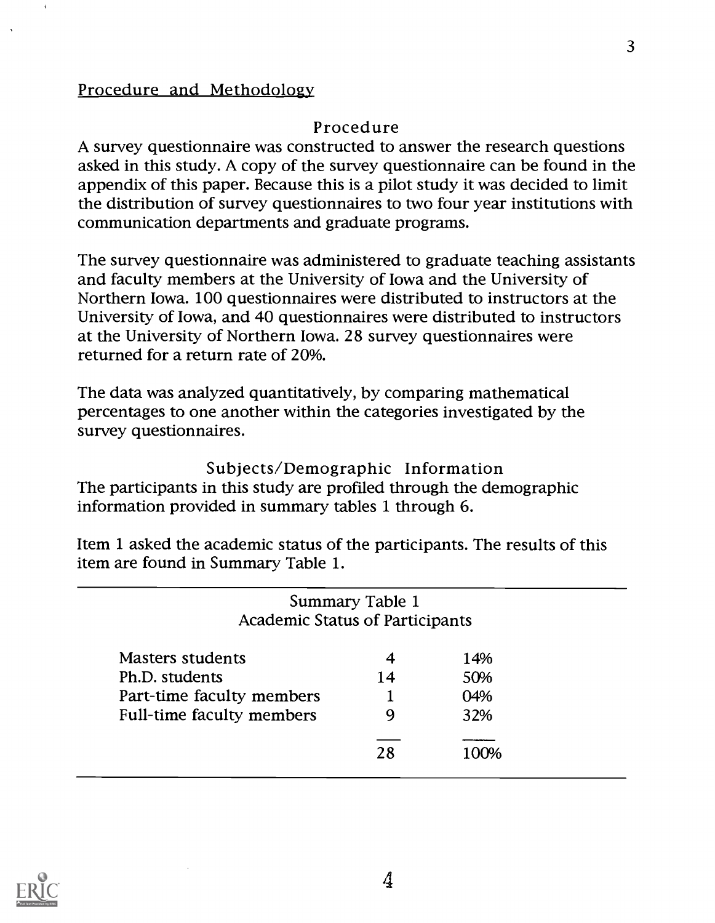## Procedure and Methodology

## Procedure

A survey questionnaire was constructed to answer the research questions asked in this study. A copy of the survey questionnaire can be found in the appendix of this paper. Because this is a pilot study it was decided to limit the distribution of survey questionnaires to two four year institutions with communication departments and graduate programs.

The survey questionnaire was administered to graduate teaching assistants and faculty members at the University of Iowa and the University of Northern Iowa. 100 questionnaires were distributed to instructors at the University of Iowa, and 40 questionnaires were distributed to instructors at the University of Northern Iowa. 28 survey questionnaires were returned for a return rate of 20%.

The data was analyzed quantitatively, by comparing mathematical percentages to one another within the categories investigated by the survey questionnaires.

Subjects/Demographic Information The participants in this study are profiled through the demographic information provided in summary tables 1 through 6.

Item 1 asked the academic status of the participants. The results of this item are found in Summary Table 1.

| <b>Academic Status of Participants</b> | Summary Table 1 |       |
|----------------------------------------|-----------------|-------|
| <b>Masters students</b>                | 4               | 14%   |
| Ph.D. students                         | 14              | 50%   |
| Part-time faculty members              |                 | 04%   |
| <b>Full-time faculty members</b>       | 9               | 32%   |
|                                        | 28              | 1 በበ% |

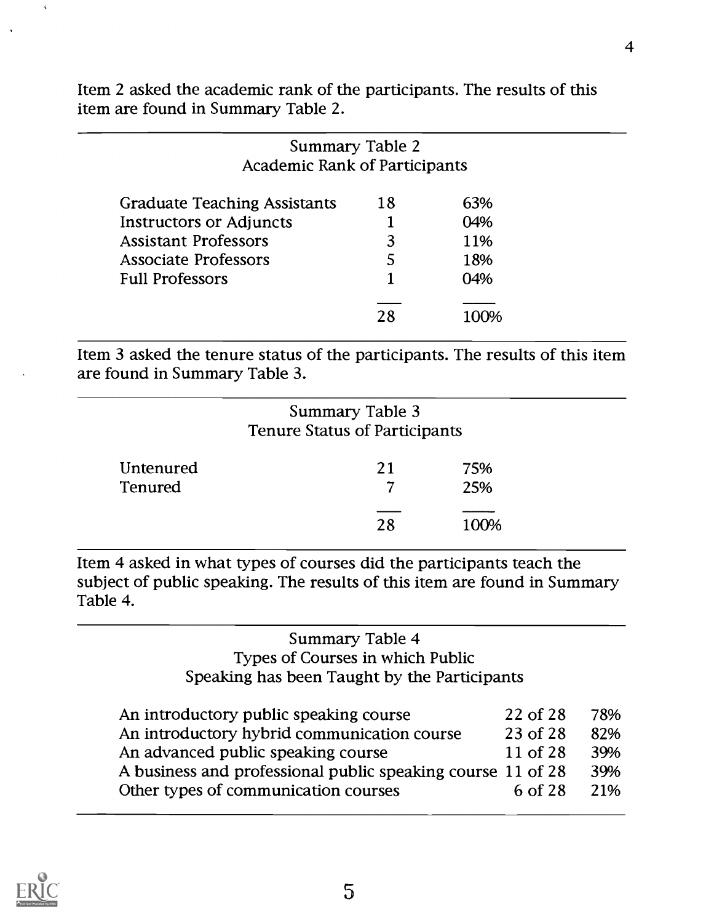Item 2 asked the academic rank of the participants. The results of this item are found in Summary Table 2.

| Summary Table 2<br><b>Academic Rank of Participants</b> |    |     |
|---------------------------------------------------------|----|-----|
| <b>Graduate Teaching Assistants</b>                     | 18 | 63% |
| <b>Instructors or Adjuncts</b>                          |    | 04% |
| <b>Assistant Professors</b>                             | 3  | 11% |
| <b>Associate Professors</b>                             |    | 18% |
| <b>Full Professors</b>                                  |    | 04% |
|                                                         | 28 |     |

Item 3 asked the tenure status of the participants. The results of this item are found in Summary Table 3.

|                      | Summary Table 3<br><b>Tenure Status of Participants</b> |            |  |
|----------------------|---------------------------------------------------------|------------|--|
| Untenured<br>Tenured | 21                                                      | 75%<br>25% |  |
|                      | 28                                                      | 100%       |  |

Item 4 asked in what types of courses did the participants teach the subject of public speaking. The results of this item are found in Summary Table 4.

## Summary Table 4 Types of Courses in which Public Speaking has been Taught by the Participants

| An introductory public speaking course                      | 22 of 28 | 78% |
|-------------------------------------------------------------|----------|-----|
| An introductory hybrid communication course                 | 23 of 28 | 82% |
| An advanced public speaking course                          | 11 of 28 | 39% |
| A business and professional public speaking course 11 of 28 |          | 39% |
| Other types of communication courses                        | 6 of 28  | 21% |
|                                                             |          |     |

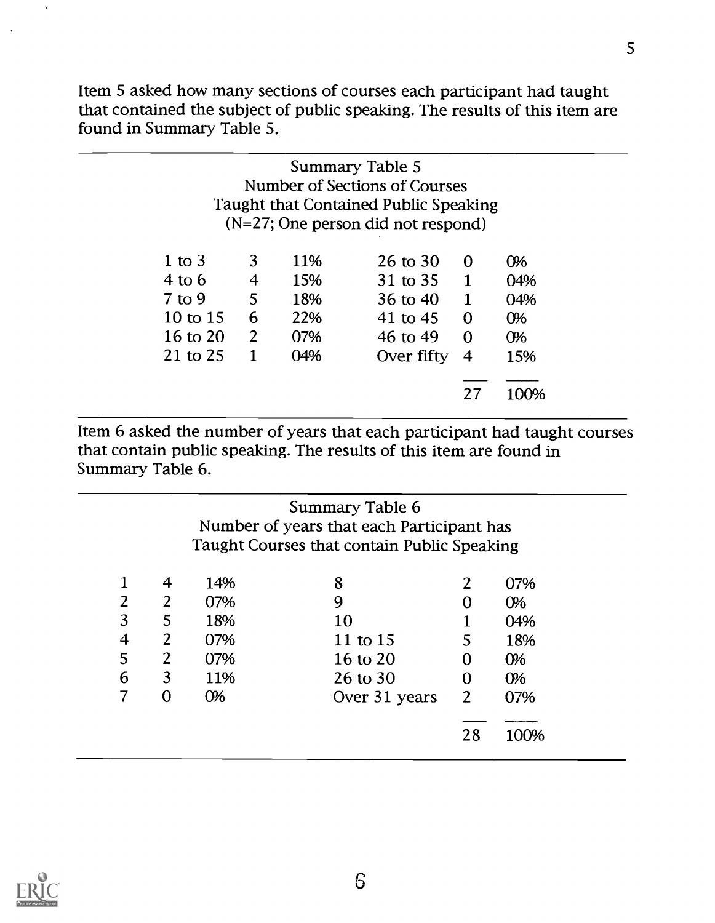Item 5 asked how many sections of courses each participant had taught that contained the subject of public speaking. The results of this item are found in Summary Table 5.

|                   |                |     | Summary Table 5<br>Number of Sections of Courses<br>Taught that Contained Public Speaking |              |       |
|-------------------|----------------|-----|-------------------------------------------------------------------------------------------|--------------|-------|
|                   |                |     | (N=27; One person did not respond)                                                        |              |       |
| 1 to $3$          | 3              | 11% | 26 to $30$                                                                                | $\Omega$     | $O\%$ |
| $4 \text{ to } 6$ | $\overline{4}$ | 15% | 31 to 35                                                                                  | $\mathbf{1}$ | 04%   |
| $7$ to 9          | 5              | 18% | 36 to $40$                                                                                | $\mathbf{1}$ | 04%   |
| 10 to 15          | 6              | 22% | 41 to 45                                                                                  | $\Omega$     | $O\%$ |
| 16 to 20          | 2              | 07% | 46 to 49                                                                                  | $\Omega$     | $O\%$ |
| 21 to 25          | 1              | 04% | Over fifty                                                                                | 4            | 15%   |
|                   |                |     |                                                                                           |              |       |
|                   |                |     |                                                                                           | 27           | 100%  |

Item 6 asked the number of years that each participant had taught courses that contain public speaking. The results of this item are found in Summary Table 6.

|   |                |       | Summary Table 6                             |                |       |
|---|----------------|-------|---------------------------------------------|----------------|-------|
|   |                |       | Number of years that each Participant has   |                |       |
|   |                |       | Taught Courses that contain Public Speaking |                |       |
|   |                |       |                                             |                |       |
|   | 4              | 14%   | 8                                           | 2              | 07%   |
| 2 | $\overline{2}$ | 07%   | 9                                           | 0              | $O\%$ |
| 3 | 5              | 18%   | 10                                          |                | 04%   |
| 4 | $\overline{2}$ | 07%   | 11 to 15                                    | 5              | 18%   |
| 5 | $2^{\circ}$    | 07%   | 16 to 20                                    | 0              | 0%    |
| 6 | 3              | 11%   | 26 to 30                                    | 0              | $O\%$ |
|   | $\Omega$       | $O\%$ | Over 31 years                               | $\overline{2}$ | 07%   |
|   |                |       |                                             |                |       |
|   |                |       |                                             | 28             | 100%  |



 $\bar{\mathbf{v}}$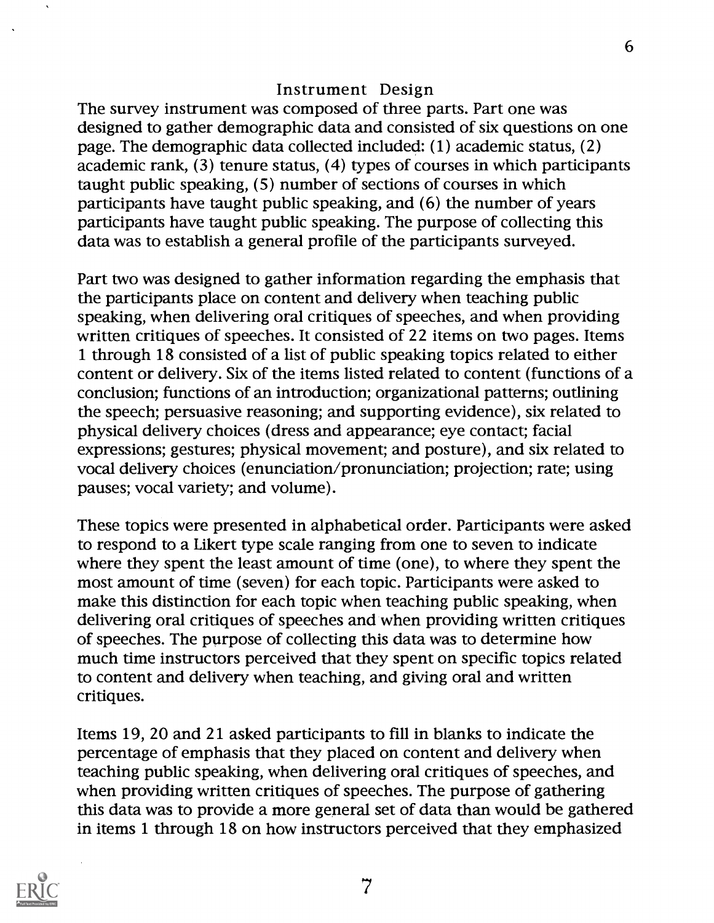### Instrument Design

The survey instrument was composed of three parts. Part one was designed to gather demographic data and consisted of six questions on one page. The demographic data collected included: (1) academic status, (2) academic rank, (3) tenure status, (4) types of courses in which participants taught public speaking, (5) number of sections of courses in which participants have taught public speaking, and (6) the number of years participants have taught public speaking. The purpose of collecting this data was to establish a general profile of the participants surveyed.

Part two was designed to gather information regarding the emphasis that the participants place on content and delivery when teaching public speaking, when delivering oral critiques of speeches, and when providing written critiques of speeches. It consisted of 22 items on two pages. Items 1 through 18 consisted of a list of public speaking topics related to either content or delivery. Six of the items listed related to content (functions of a conclusion; functions of an introduction; organizational patterns; outlining the speech; persuasive reasoning; and supporting evidence), six related to physical delivery choices (dress and appearance; eye contact; facial expressions; gestures; physical movement; and posture), and six related to vocal delivery choices (enunciation/pronunciation; projection; rate; using pauses; vocal variety; and volume).

These topics were presented in alphabetical order. Participants were asked to respond to a Likert type scale ranging from one to seven to indicate where they spent the least amount of time (one), to where they spent the most amount of time (seven) for each topic. Participants were asked to make this distinction for each topic when teaching public speaking, when delivering oral critiques of speeches and when providing written critiques of speeches. The purpose of collecting this data was to determine how much time instructors perceived that they spent on specific topics related to content and delivery when teaching, and giving oral and written critiques.

Items 19, 20 and 21 asked participants to fill in blanks to indicate the percentage of emphasis that they placed on content and delivery when teaching public speaking, when delivering oral critiques of speeches, and when providing written critiques of speeches. The purpose of gathering this data was to provide a more general set of data than would be gathered in items 1 through 18 on how instructors perceived that they emphasized

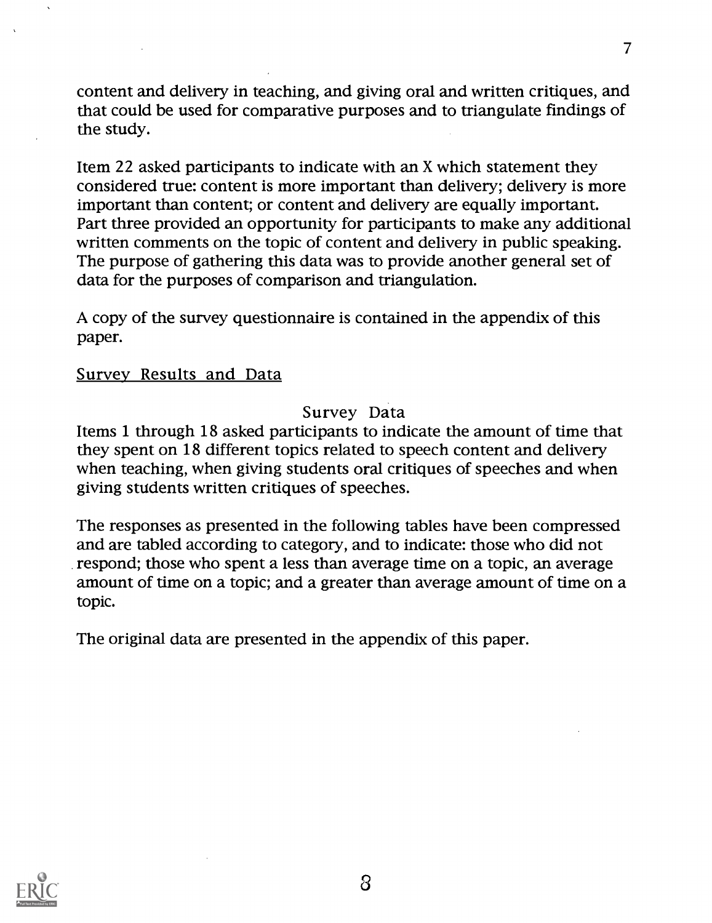content and delivery in teaching, and giving oral and written critiques, and that could be used for comparative purposes and to triangulate findings of the study.

Item 22 asked participants to indicate with an X which statement they considered true: content is more important than delivery; delivery is more important than content; or content and delivery are equally important. Part three provided an opportunity for participants to make any additional written comments on the topic of content and delivery in public speaking. The purpose of gathering this data was to provide another general set of data for the purposes of comparison and triangulation.

A copy of the survey questionnaire is contained in the appendix of this paper.

### Survey Results and Data

## Survey Data

Items 1 through 18 asked participants to indicate the amount of time that they spent on 18 different topics related to speech content and delivery when teaching, when giving students oral critiques of speeches and when giving students written critiques of speeches.

The responses as presented in the following tables have been compressed and are tabled according to category, and to indicate: those who did not respond; those who spent a less than average time on a topic, an average amount of time on a topic; and a greater than average amount of time on a topic.

The original data are presented in the appendix of this paper.

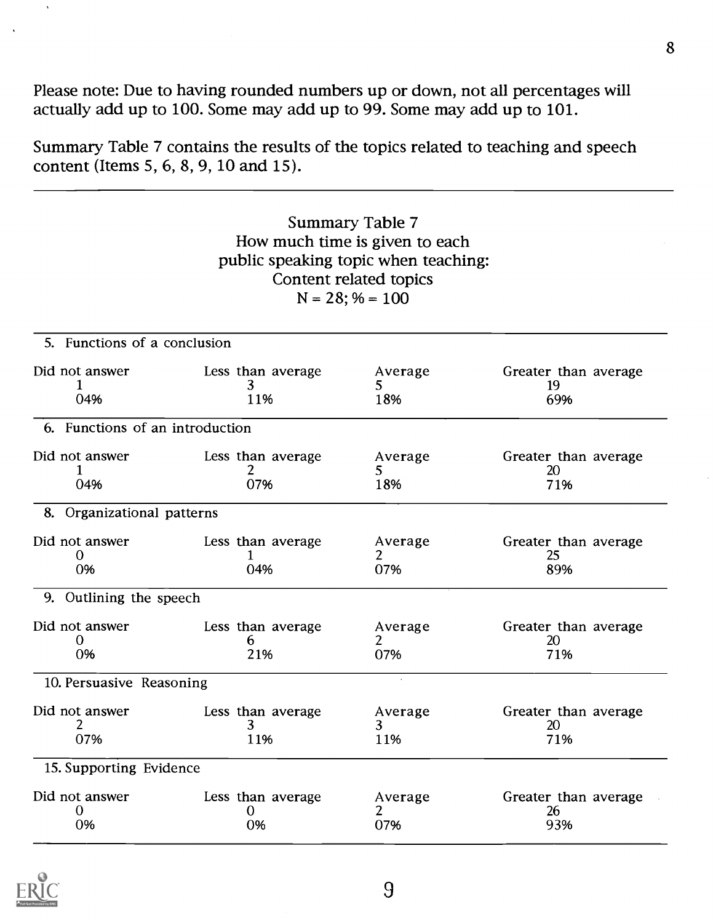Please note: Due to having rounded numbers up or down, not all percentages will actually add up to 100. Some may add up to 99. Some may add up to 101.

Summary Table 7 contains the results of the topics related to teaching and speech content (Items 5, 6, 8, 9, 10 and 15).

## Summary Table 7 How much time is given to each public speaking topic when teaching: Content related topics  $N = 28$ ; % = 100

| 5. Functions of a conclusion    |                               |                      |                                   |
|---------------------------------|-------------------------------|----------------------|-----------------------------------|
| Did not answer<br>04%           | Less than average<br>3<br>11% | Average<br>5.<br>18% | Greater than average<br>19<br>69% |
| 6. Functions of an introduction |                               |                      |                                   |
| Did not answer<br>04%           | Less than average<br>2<br>07% | Average<br>5<br>18%  | Greater than average<br>20<br>71% |
| 8. Organizational patterns      |                               |                      |                                   |
| Did not answer<br>$_{0}$<br>0%  | Less than average<br>04%      | Average<br>07%       | Greater than average<br>25<br>89% |
| 9. Outlining the speech         |                               |                      |                                   |
| Did not answer<br>0<br>0%       | Less than average<br>6<br>21% | Average<br>2<br>07%  | Greater than average<br>20<br>71% |
| 10. Persuasive Reasoning        |                               | $\sim$               |                                   |
| Did not answer<br>2<br>07%      | Less than average<br>3<br>11% | Average<br>3<br>11%  | Greater than average<br>20<br>71% |
| 15. Supporting Evidence         |                               |                      |                                   |
| Did not answer<br>0<br>0%       | Less than average<br>0<br>0%  | Average<br>2<br>07%  | Greater than average<br>26<br>93% |

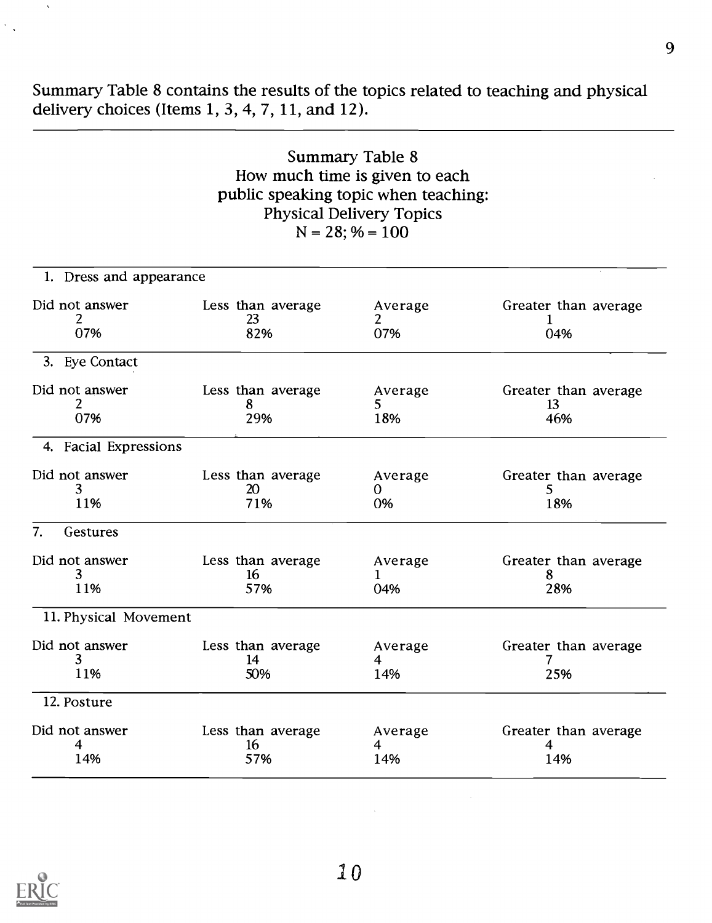Summary Table 8 contains the results of the topics related to teaching and physical delivery choices (Items 1, 3, 4, 7, 11, and 12).

| Summary Table 8                      |  |
|--------------------------------------|--|
| How much time is given to each       |  |
| public speaking topic when teaching: |  |
| <b>Physical Delivery Topics</b>      |  |
| $N = 28$ ; % = 100                   |  |

| 1. Dress and appearance    |                                |                                  |                                   |
|----------------------------|--------------------------------|----------------------------------|-----------------------------------|
| Did not answer<br>2<br>07% | Less than average<br>23<br>82% | Average<br>2<br>07%              | Greater than average<br>04%       |
| 3. Eye Contact             |                                |                                  |                                   |
| Did not answer<br>2<br>07% | Less than average<br>8<br>29%  | Average<br>5.<br>18%             | Greater than average<br>13<br>46% |
| 4. Facial Expressions      |                                |                                  |                                   |
| Did not answer<br>3<br>11% | Less than average<br>20<br>71% | Average<br>0<br>0%               | Greater than average<br>5.<br>18% |
| 7.<br>Gestures             |                                |                                  |                                   |
| Did not answer<br>3<br>11% | Less than average<br>16<br>57% | Average<br>1<br>04%              | Greater than average<br>8<br>28%  |
| 11. Physical Movement      |                                |                                  |                                   |
| Did not answer<br>3<br>11% | Less than average<br>14<br>50% | Average<br>4<br>14%              | Greater than average<br>25%       |
| 12. Posture                |                                |                                  |                                   |
| Did not answer<br>4<br>14% | Less than average<br>16<br>57% | Average<br>$\overline{4}$<br>14% | Greater than average<br>4<br>14%  |



 $\hat{\mathbf{v}}$ 

 $\mathcal{L}_{\text{max}}$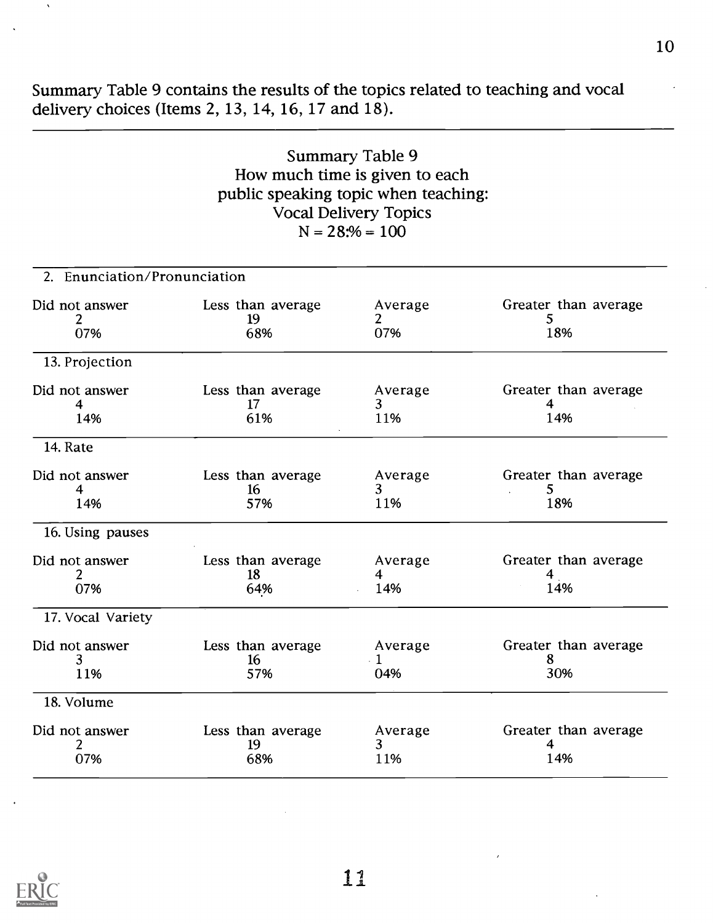Summary Table 9 contains the results of the topics related to teaching and vocal delivery choices (Items 2, 13, 14, 16, 17 and 18).

| Summary Table 9                      |  |
|--------------------------------------|--|
| How much time is given to each       |  |
| public speaking topic when teaching: |  |
| <b>Vocal Delivery Topics</b>         |  |
| $N = 28:% = 100$                     |  |

| 2. Enunciation/Pronunciation |                                |                             |                                  |
|------------------------------|--------------------------------|-----------------------------|----------------------------------|
| Did not answer<br>2<br>07%   | Less than average<br>19<br>68% | Average<br>2<br>07%         | Greater than average<br>5<br>18% |
| 13. Projection               |                                |                             |                                  |
| Did not answer<br>4<br>14%   | Less than average<br>17<br>61% | Average<br>3<br>11%         | Greater than average<br>4<br>14% |
| 14. Rate                     |                                |                             |                                  |
| Did not answer<br>4<br>14%   | Less than average<br>16<br>57% | Average<br>3<br>11%         | Greater than average<br>5<br>18% |
| 16. Using pauses             |                                |                             |                                  |
| Did not answer<br>07%        | Less than average<br>18<br>64% | Average<br>4<br>14%         | Greater than average<br>4<br>14% |
| 17. Vocal Variety            |                                |                             |                                  |
| Did not answer<br>3<br>11%   | Less than average<br>16<br>57% | Average<br>$\cdot$ 1<br>04% | Greater than average<br>8<br>30% |
| 18. Volume                   |                                |                             |                                  |
| Did not answer<br>2<br>07%   | Less than average<br>19<br>68% | Average<br>3<br>11%         | Greater than average<br>4<br>14% |



 $\hat{\mathbf{v}}$ 

L1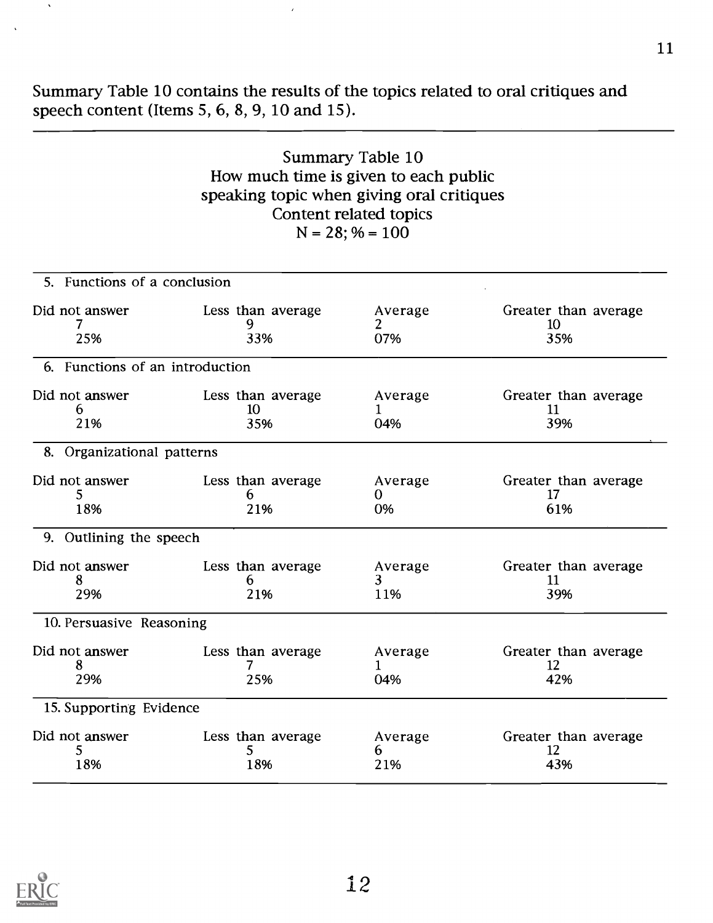Summary Table 10 contains the results of the topics related to oral critiques and speech content (Items 5, 6, 8, 9, 10 and 15).

## Summary Table 10 How much time is given to each public speaking topic when giving oral critiques Content related topics  $N = 28$ ; % = 100

| Less than average | Average                                                                                                                                               | Greater than average |
|-------------------|-------------------------------------------------------------------------------------------------------------------------------------------------------|----------------------|
| 9                 | 2                                                                                                                                                     | 10                   |
| 33%               | 07%                                                                                                                                                   | 35%                  |
|                   |                                                                                                                                                       |                      |
| Less than average | Average                                                                                                                                               | Greater than average |
|                   | 1                                                                                                                                                     | 11                   |
| 35%               | 04%                                                                                                                                                   | 39%                  |
|                   |                                                                                                                                                       |                      |
| Less than average | Average                                                                                                                                               | Greater than average |
| 6                 | 0                                                                                                                                                     | 17                   |
| 21%               | 0%                                                                                                                                                    | 61%                  |
|                   |                                                                                                                                                       |                      |
| Less than average | Average                                                                                                                                               | Greater than average |
| 6                 | 3                                                                                                                                                     | 11                   |
| 21%               | 11%                                                                                                                                                   | 39%                  |
|                   |                                                                                                                                                       |                      |
| Less than average | Average                                                                                                                                               | Greater than average |
| 7                 | 1                                                                                                                                                     | 12                   |
| 25%               | 04%                                                                                                                                                   | 42%                  |
|                   |                                                                                                                                                       |                      |
| Less than average | Average                                                                                                                                               | Greater than average |
| 5                 | 6                                                                                                                                                     | 12                   |
| 18%               | 21%                                                                                                                                                   | 43%                  |
|                   | 6. Functions of an introduction<br>10<br>8. Organizational patterns<br>9. Outlining the speech<br>10. Persuasive Reasoning<br>15. Supporting Evidence |                      |

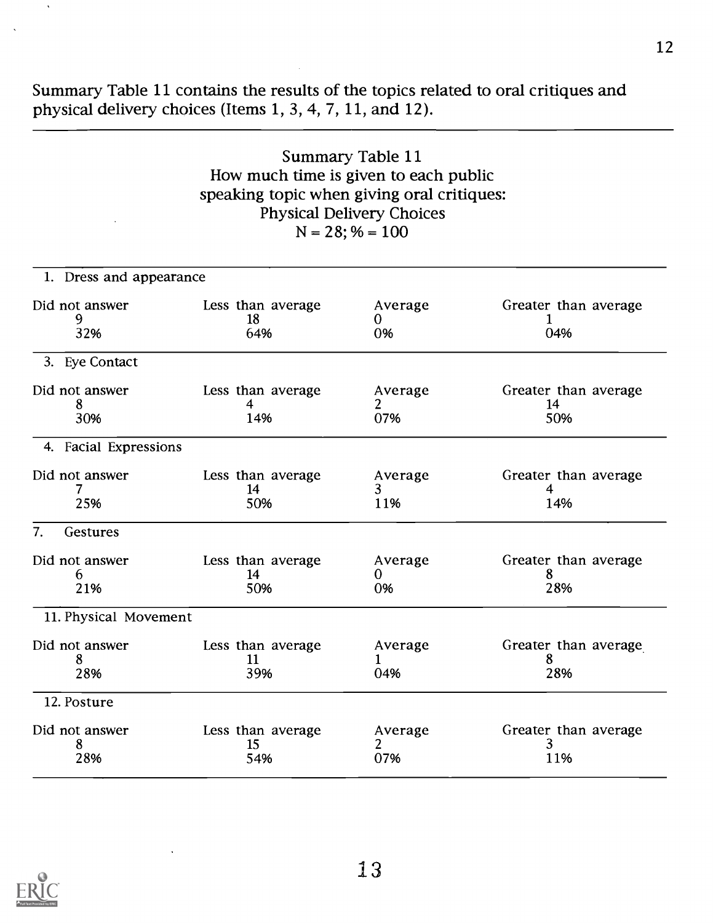Summary Table 11 contains the results of the topics related to oral critiques and physical delivery choices (Items 1, 3, 4, 7, 11, and 12).

## Summary Table 11 How much time is given to each public speaking topic when giving oral critiques: Physical Delivery Choices  $N = 28$ ; % = 100

| 1. Dress and appearance    |                                |                     |                                   |
|----------------------------|--------------------------------|---------------------|-----------------------------------|
| Did not answer<br>9<br>32% | Less than average<br>18<br>64% | Average<br>0<br>0%  | Greater than average<br>04%       |
| 3. Eye Contact             |                                |                     |                                   |
| Did not answer<br>8<br>30% | Less than average<br>4<br>14%  | Average<br>2<br>07% | Greater than average<br>14<br>50% |
| 4. Facial Expressions      |                                |                     |                                   |
| Did not answer<br>7<br>25% | Less than average<br>14<br>50% | Average<br>3<br>11% | Greater than average<br>4<br>14%  |
| 7.<br>Gestures             |                                |                     |                                   |
| Did not answer<br>6<br>21% | Less than average<br>14<br>50% | Average<br>0<br>0%  | Greater than average<br>8<br>28%  |
| 11. Physical Movement      |                                |                     |                                   |
| Did not answer<br>8<br>28% | Less than average<br>11<br>39% | Average<br>1<br>04% | Greater than average<br>8<br>28%  |
| 12. Posture                |                                |                     |                                   |
| Did not answer<br>8<br>28% | Less than average<br>15<br>54% | Average<br>2<br>07% | Greater than average<br>3<br>11%  |

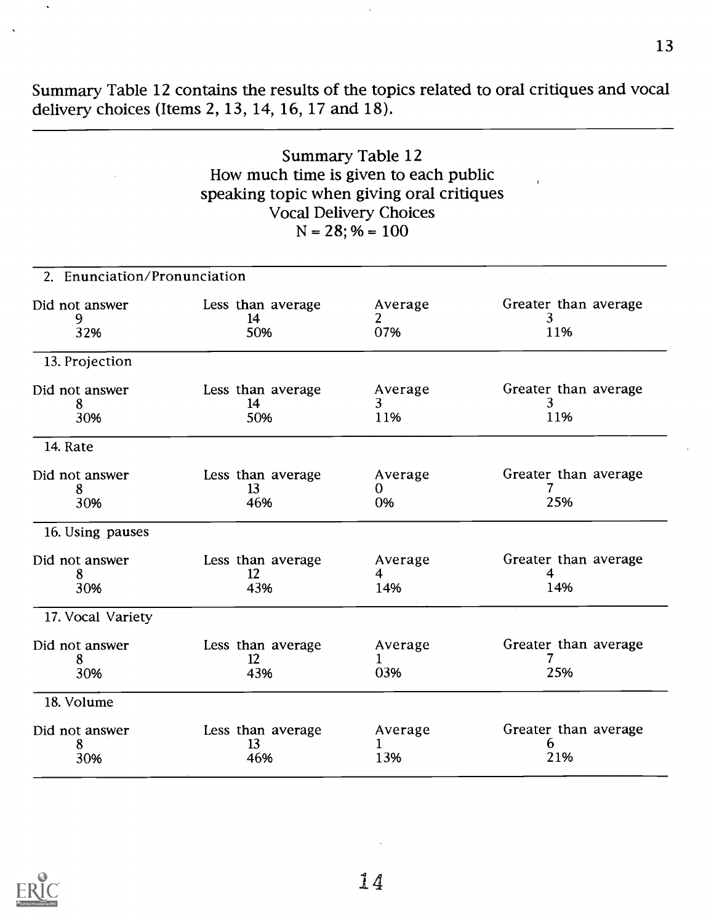Summary Table 12 contains the results of the topics related to oral critiques and vocal delivery choices (Items 2, 13, 14, 16, 17 and 18).

## Summary Table 12 How much time is given to each public speaking topic when giving oral critiques Vocal Delivery Choices  $N = 28$ ; % = 100

| 2. Enunciation/Pronunciation |                                |                     |                                  |
|------------------------------|--------------------------------|---------------------|----------------------------------|
| Did not answer<br>9<br>32%   | Less than average<br>14<br>50% | Average<br>2<br>07% | Greater than average<br>3<br>11% |
| 13. Projection               |                                |                     |                                  |
| Did not answer<br>8<br>30%   | Less than average<br>14<br>50% | Average<br>3<br>11% | Greater than average<br>3<br>11% |
| 14. Rate                     |                                |                     |                                  |
| Did not answer<br>8<br>30%   | Less than average<br>13<br>46% | Average<br>0<br>0%  | Greater than average<br>25%      |
| 16. Using pauses             |                                |                     |                                  |
| Did not answer<br>8<br>30%   | Less than average<br>12<br>43% | Average<br>4<br>14% | Greater than average<br>4<br>14% |
| 17. Vocal Variety            |                                |                     |                                  |
| Did not answer<br>8<br>30%   | Less than average<br>12<br>43% | Average<br>1<br>03% | Greater than average<br>25%      |
| 18. Volume                   |                                |                     |                                  |
| Did not answer<br>8<br>30%   | Less than average<br>13<br>46% | Average<br>1<br>13% | Greater than average<br>6<br>21% |

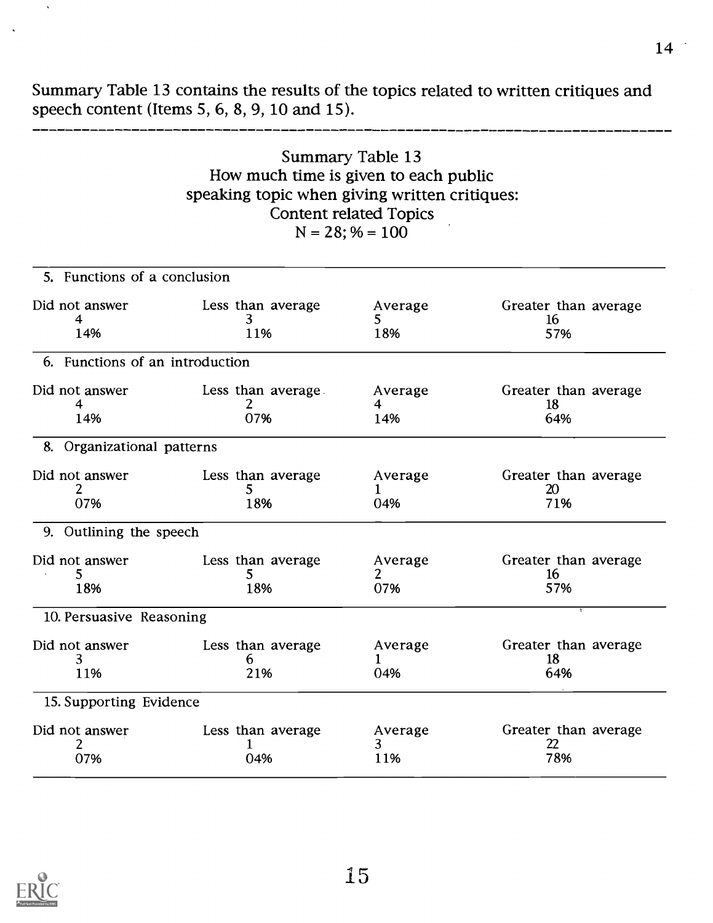Summary Table 13 contains the results of the topics related to written critiques and speech content (Items 5, 6, 8, 9, 10 and 15).

## Summary Table 13 How much time is given to each public speaking topic when giving written critiques: Content related Topics  $N = 28$ ; % = 100

| 5. Functions of a conclusion    |                                |                      |                                   |
|---------------------------------|--------------------------------|----------------------|-----------------------------------|
| Did not answer<br>4<br>14%      | Less than average<br>3.<br>11% | Average<br>5.<br>18% | Greater than average<br>16<br>57% |
| 6. Functions of an introduction |                                |                      |                                   |
| Did not answer<br>4<br>14%      | Less than average<br>2<br>07%  | Average<br>4<br>14%  | Greater than average<br>18<br>64% |
| 8. Organizational patterns      |                                |                      |                                   |
| Did not answer<br>2<br>07%      | Less than average<br>5<br>18%  | Average<br>1<br>04%  | Greater than average<br>20<br>71% |
| 9. Outlining the speech         |                                |                      |                                   |
| Did not answer<br>5<br>18%      | Less than average<br>5.<br>18% | Average<br>2<br>07%  | Greater than average<br>16<br>57% |
| 10. Persuasive Reasoning        |                                |                      |                                   |
| Did not answer<br>3<br>11%      | Less than average<br>6<br>21%  | Average<br>1<br>04%  | Greater than average<br>18<br>64% |
| 15. Supporting Evidence         |                                |                      |                                   |
| Did not answer<br>07%           | Less than average<br>04%       | Average<br>3<br>11%  | Greater than average<br>22<br>78% |



 $\ddot{\phantom{a}}$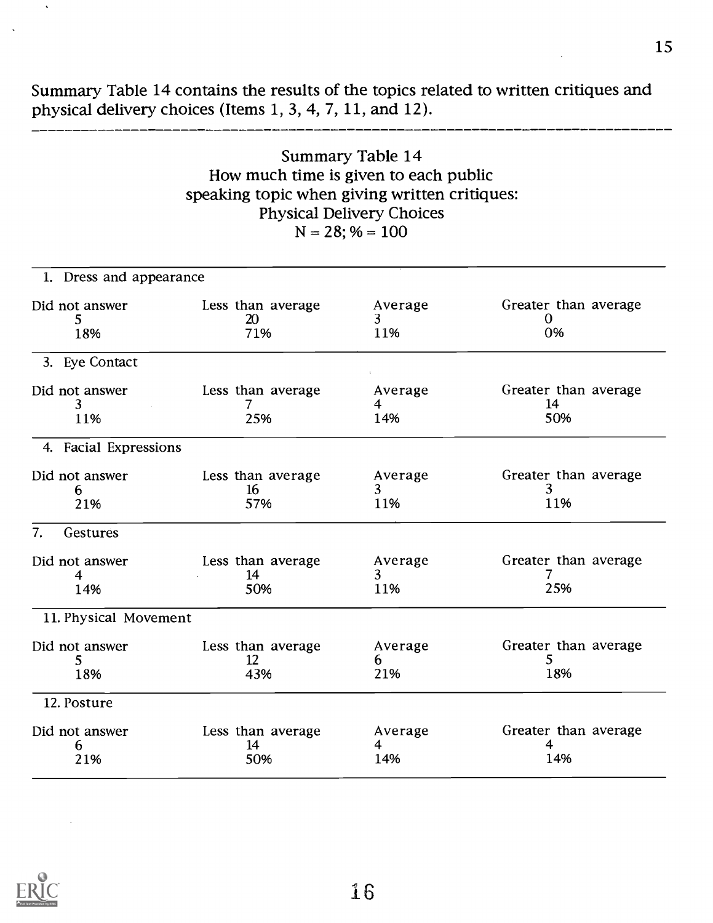Summary Table 14 contains the results of the topics related to written critiques and physical delivery choices (Items 1, 3, 4, 7, 11, and 12).

## Summary Table 14 How much time is given to each public speaking topic when giving written critiques: Physical Delivery Choices  $N = 28$ ; % = 100

| 1. Dress and appearance     |                                |                                           |                                   |
|-----------------------------|--------------------------------|-------------------------------------------|-----------------------------------|
| Did not answer<br>5.<br>18% | Less than average<br>20<br>71% | Average<br>3<br>11%                       | Greater than average<br>0<br>0%   |
| 3. Eye Contact              |                                |                                           |                                   |
| Did not answer<br>3<br>11%  | Less than average<br>7<br>25%  | Average<br>4<br>14%                       | Greater than average<br>14<br>50% |
| 4. Facial Expressions       |                                |                                           |                                   |
| Did not answer<br>6<br>21%  | Less than average<br>16<br>57% | Average<br>3<br>11%                       | Greater than average<br>3<br>11%  |
| 7.<br>Gestures              |                                |                                           |                                   |
| Did not answer<br>4<br>14%  | Less than average<br>14<br>50% | Average<br>3<br>11%                       | Greater than average<br>25%       |
| 11. Physical Movement       |                                |                                           |                                   |
| Did not answer<br>5<br>18%  | Less than average<br>12<br>43% | Average<br>6<br>21%                       | Greater than average<br>5<br>18%  |
| 12. Posture                 |                                |                                           |                                   |
| Did not answer<br>6<br>21%  | Less than average<br>14<br>50% | Average<br>$\overline{\mathbf{4}}$<br>14% | Greater than average<br>4<br>14%  |



 $\hat{\mathbf{v}}$ 

\_\_\_\_\_\_\_\_\_\_\_\_\_\_\_\_\_\_\_\_\_\_\_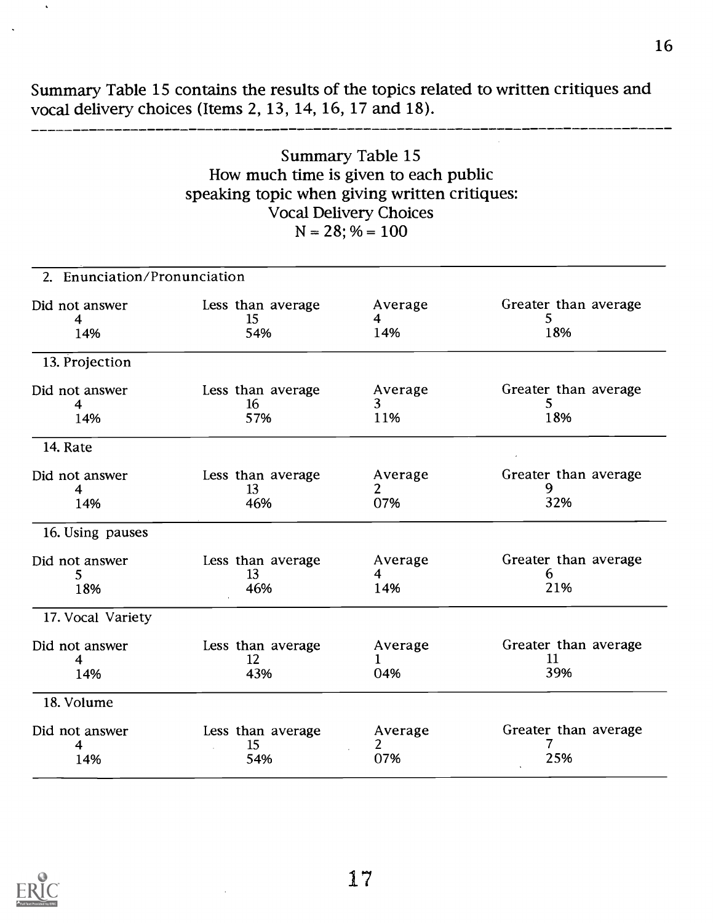Summary Table 15 contains the results of the topics related to written critiques and vocal delivery choices (Items 2, 13, 14, 16, 17 and 18).

## Summary Table 15 How much time is given to each public speaking topic when giving written critiques: Vocal Delivery Choices  $N = 28$ ; % = 100

| 2. Enunciation/Pronunciation |                                |                                  |                                   |
|------------------------------|--------------------------------|----------------------------------|-----------------------------------|
| Did not answer<br>4<br>14%   | Less than average<br>15<br>54% | Average<br>4<br>14%              | Greater than average<br>5<br>18%  |
| 13. Projection               |                                |                                  |                                   |
| Did not answer<br>4<br>14%   | Less than average<br>16<br>57% | Average<br>3<br>11%              | Greater than average<br>5<br>18%  |
| 14. Rate                     |                                |                                  |                                   |
| Did not answer<br>4<br>14%   | Less than average<br>13<br>46% | Average<br>$\overline{2}$<br>07% | Greater than average<br>9<br>32%  |
| 16. Using pauses             |                                |                                  |                                   |
| Did not answer<br>5<br>18%   | Less than average<br>13<br>46% | Average<br>4<br>14%              | Greater than average<br>6<br>21%  |
| 17. Vocal Variety            |                                |                                  |                                   |
| Did not answer<br>4<br>14%   | Less than average<br>12<br>43% | Average<br>1<br>04%              | Greater than average<br>11<br>39% |
| 18. Volume                   |                                |                                  |                                   |
| Did not answer<br>4<br>14%   | Less than average<br>15<br>54% | Average<br>$\overline{2}$<br>07% | Greater than average<br>25%       |



 $\hat{\mathbf{v}}$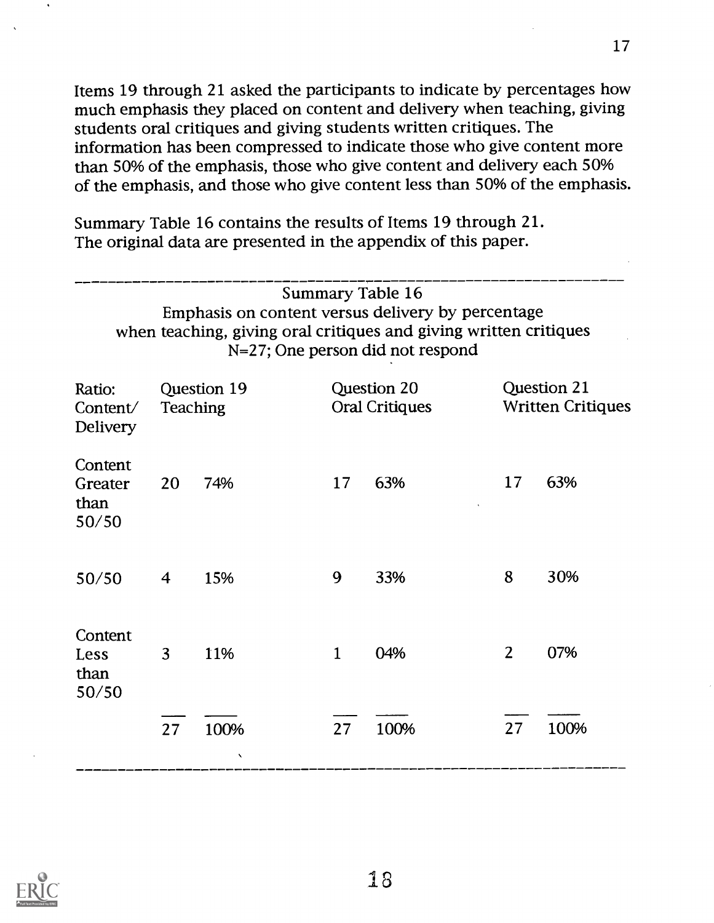Items 19 through 21 asked the participants to indicate by percentages how much emphasis they placed on content and delivery when teaching, giving students oral critiques and giving students written critiques. The information has been compressed to indicate those who give content more than 50% of the emphasis, those who give content and delivery each 50% of the emphasis, and those who give content less than 50% of the emphasis.

Summary Table 16 contains the results of Items 19 through 21. The original data are presented in the appendix of this paper.

|                                       |    |                                | <b>Summary Table 16</b><br>N=27; One person did not respond |      | Emphasis on content versus delivery by percentage<br>when teaching, giving oral critiques and giving written critiques |                                         |  |
|---------------------------------------|----|--------------------------------|-------------------------------------------------------------|------|------------------------------------------------------------------------------------------------------------------------|-----------------------------------------|--|
| Ratio:<br>Content/<br><b>Delivery</b> |    | Question 19<br><b>Teaching</b> | Question 20<br><b>Oral Critiques</b>                        |      |                                                                                                                        | Question 21<br><b>Written Critiques</b> |  |
| Content<br>Greater<br>than<br>50/50   | 20 | 74%                            | 17                                                          | 63%  | 17                                                                                                                     | 63%                                     |  |
| 50/50                                 | 4  | 15%                            | 9                                                           | 33%  | 8                                                                                                                      | 30%                                     |  |
| Content<br>Less<br>than<br>50/50      | 3  | 11%                            | $\mathbf{1}$                                                | 04%  | $\overline{2}$                                                                                                         | 07%                                     |  |
|                                       | 27 | 100%                           | 27                                                          | 100% | 27                                                                                                                     | 100%                                    |  |

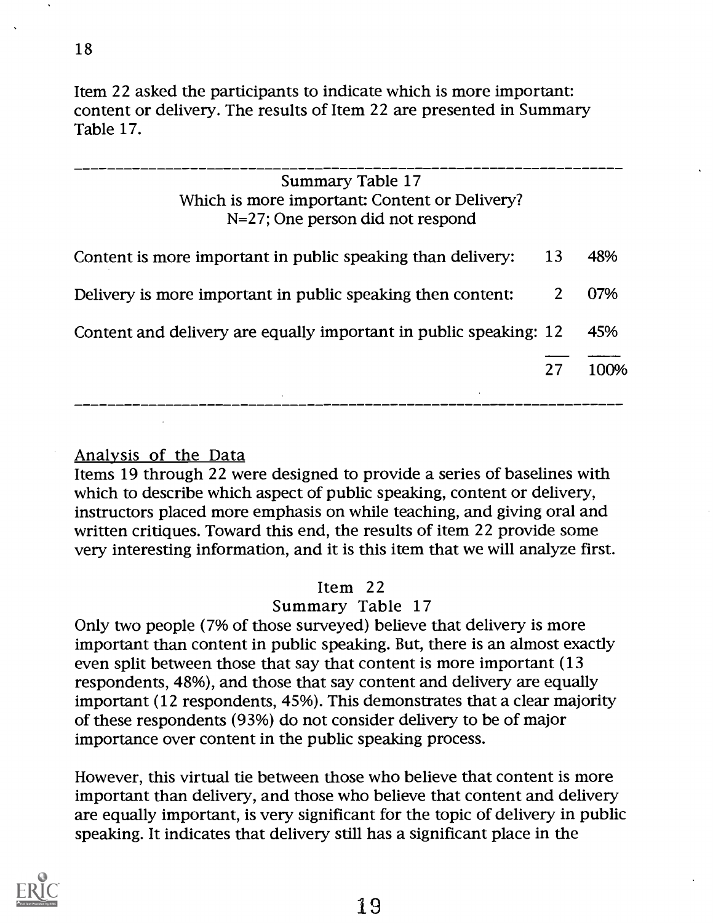Item 22 asked the participants to indicate which is more important: content or delivery. The results of Item 22 are presented in Summary Table 17.

| Summary Table 17<br>Which is more important: Content or Delivery?<br>$N=27$ ; One person did not respond |    |      |
|----------------------------------------------------------------------------------------------------------|----|------|
| Content is more important in public speaking than delivery:                                              | 13 | 48%  |
| Delivery is more important in public speaking then content:                                              |    | 07%  |
| Content and delivery are equally important in public speaking: 12                                        |    | 45%  |
|                                                                                                          |    | 100% |
|                                                                                                          |    |      |

## Analysis of the Data

Items 19 through 22 were designed to provide a series of baselines with which to describe which aspect of public speaking, content or delivery, instructors placed more emphasis on while teaching, and giving oral and written critiques. Toward this end, the results of item 22 provide some very interesting information, and it is this item that we will analyze first.

### Item 22

## Summary Table 17

Only two people (7% of those surveyed) believe that delivery is more important than content in public speaking. But, there is an almost exactly even split between those that say that content is more important (13 respondents, 48%), and those that say content and delivery are equally important (12 respondents, 45%). This demonstrates that a clear majority of these respondents (93%) do not consider delivery to be of major importance over content in the public speaking process.

However, this virtual tie between those who believe that content is more important than delivery, and those who believe that content and delivery are equally important, is very significant for the topic of delivery in public speaking. It indicates that delivery still has a significant place in the

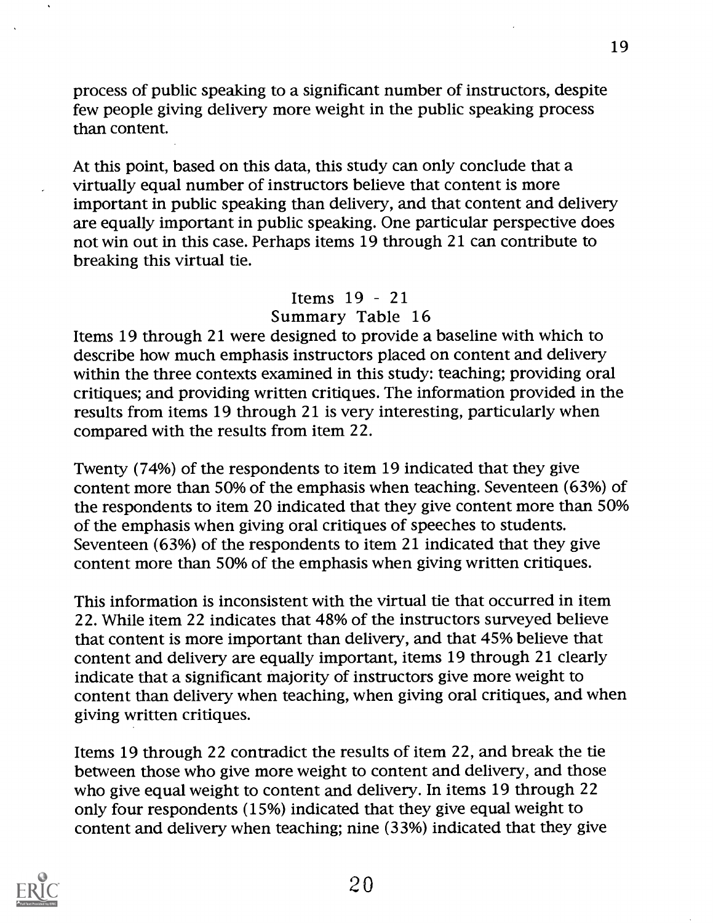process of public speaking to a significant number of instructors, despite few people giving delivery more weight in the public speaking process than content.

At this point, based on this data, this study can only conclude that a virtually equal number of instructors believe that content is more important in public speaking than delivery, and that content and delivery are equally important in public speaking. One particular perspective does not win out in this case. Perhaps items 19 through 21 can contribute to breaking this virtual tie.

## Items  $19 - 21$ Summary Table 16

Items 19 through 21 were designed to provide a baseline with which to describe how much emphasis instructors placed on content and delivery within the three contexts examined in this study: teaching; providing oral critiques; and providing written critiques. The information provided in the results from items 19 through 21 is very interesting, particularly when compared with the results from item 22.

Twenty (74%) of the respondents to item 19 indicated that they give content more than 50% of the emphasis when teaching. Seventeen (63%) of the respondents to item 20 indicated that they give content more than 50% of the emphasis when giving oral critiques of speeches to students. Seventeen (63%) of the respondents to item 21 indicated that they give content more than 50% of the emphasis when giving written critiques.

This information is inconsistent with the virtual tie that occurred in item 22. While item 22 indicates that 48% of the instructors surveyed believe that content is more important than delivery, and that 45% believe that content and delivery are equally important, items 19 through 21 clearly indicate that a significant majority of instructors give more weight to content than delivery when teaching, when giving oral critiques, and when giving written critiques.

Items 19 through 22 contradict the results of item 22, and break the tie between those who give more weight to content and delivery, and those who give equal weight to content and delivery. In items 19 through 22 only four respondents (15%) indicated that they give equal weight to content and delivery when teaching; nine (33%) indicated that they give

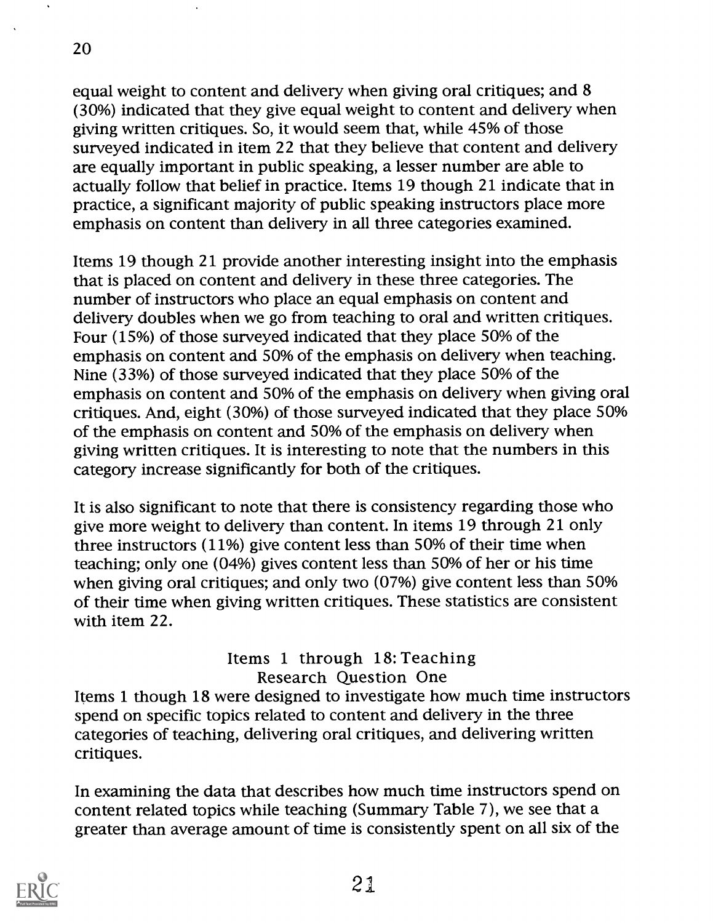equal weight to content and delivery when giving oral critiques; and 8 (30%) indicated that they give equal weight to content and delivery when giving written critiques. So, it would seem that, while 45% of those surveyed indicated in item 22 that they believe that content and delivery are equally important in public speaking, a lesser number are able to actually follow that belief in practice. Items 19 though 21 indicate that in practice, a significant majority of public speaking instructors place more emphasis on content than delivery in all three categories examined.

Items 19 though 21 provide another interesting insight into the emphasis that is placed on content and delivery in these three categories. The number of instructors who place an equal emphasis on content and delivery doubles when we go from teaching to oral and written critiques. Four (15%) of those surveyed indicated that they place 50% of the emphasis on content and 50% of the emphasis on delivery when teaching. Nine (33%) of those surveyed indicated that they place 50% of the emphasis on content and 50% of the emphasis on delivery when giving oral critiques. And, eight (30%) of those surveyed indicated that they place 50% of the emphasis on content and 50% of the emphasis on delivery when giving written critiques. It is interesting to note that the numbers in this category increase significantly for both of the critiques.

It is also significant to note that there is consistency regarding those who give more weight to delivery than content. In items 19 through 21 only three instructors (11%) give content less than 50% of their time when teaching; only one (04%) gives content less than 50% of her or his time when giving oral critiques; and only two (07%) give content less than 50% of their time when giving written critiques. These statistics are consistent with item 22.

Items 1 through 18: Teaching Research Question One Items 1 though 18 were designed to investigate how much time instructors spend on specific topics related to content and delivery in the three categories of teaching, delivering oral critiques, and delivering written critiques.

In examining the data that describes how much time instructors spend on content related topics while teaching (Summary Table 7), we see that a greater than average amount of time is consistently spent on all six of the

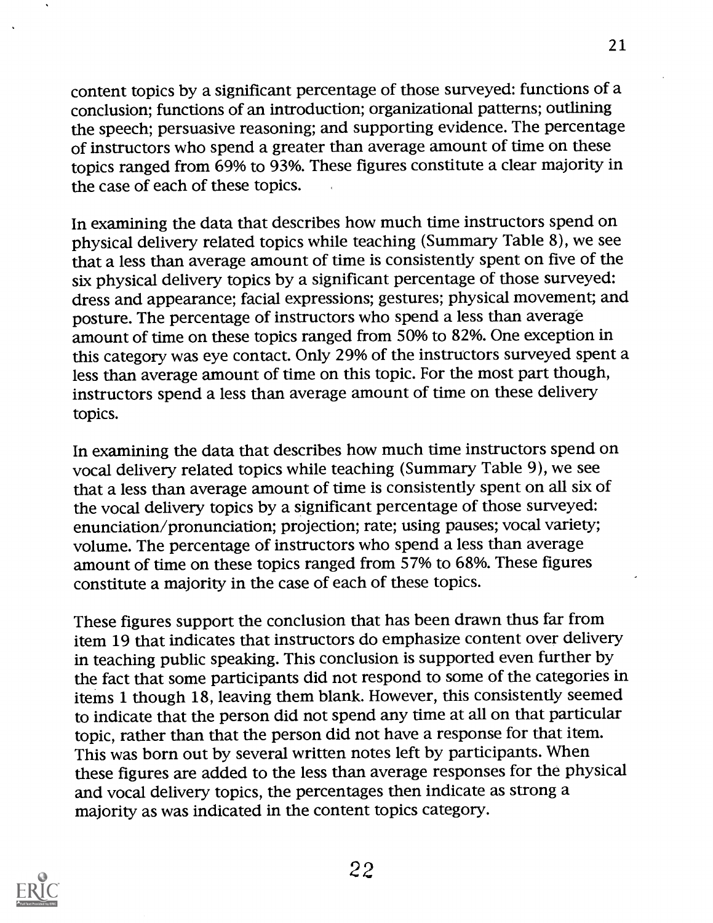content topics by a significant percentage of those surveyed: functions of a conclusion; functions of an introduction; organizational patterns; outlining the speech; persuasive reasoning; and supporting evidence. The percentage of instructors who spend a greater than average amount of time on these topics ranged from 69% to 93%. These figures constitute a clear majority in the case of each of these topics.

21

In examining the data that describes how much time instructors spend on physical delivery related topics while teaching (Summary Table 8), we see that a less than average amount of time is consistently spent on five of the six physical delivery topics by a significant percentage of those surveyed: dress and appearance; facial expressions; gestures; physical movement; and posture. The percentage of instructors who spend a less than average amount of time on these topics ranged from 50% to 82%. One exception in this category was eye contact. Only 29% of the instructors surveyed spent a less than average amount of time on this topic. For the most part though, instructors spend a less than average amount of time on these delivery topics.

In examining the data that describes how much time instructors spend on vocal delivery related topics while teaching (Summary Table 9), we see that a less than average amount of time is consistently spent on all six of the vocal delivery topics by a significant percentage of those surveyed: enunciation/pronunciation; projection; rate; using pauses; vocal variety; volume. The percentage of instructors who spend a less than average amount of time on these topics ranged from 57% to 68%. These figures constitute a majority in the case of each of these topics.

These figures support the conclusion that has been drawn thus far from item 19 that indicates that instructors do emphasize content over delivery in teaching public speaking. This conclusion is supported even further by the fact that some participants did not respond to some of the categories in items 1 though 18, leaving them blank. However, this consistently seemed to indicate that the person did not spend any time at all on that particular topic, rather than that the person did not have a response for that item. This was born out by several written notes left by participants. When these figures are added to the less than average responses for the physical and vocal delivery topics, the percentages then indicate as strong a majority as was indicated in the content topics category.

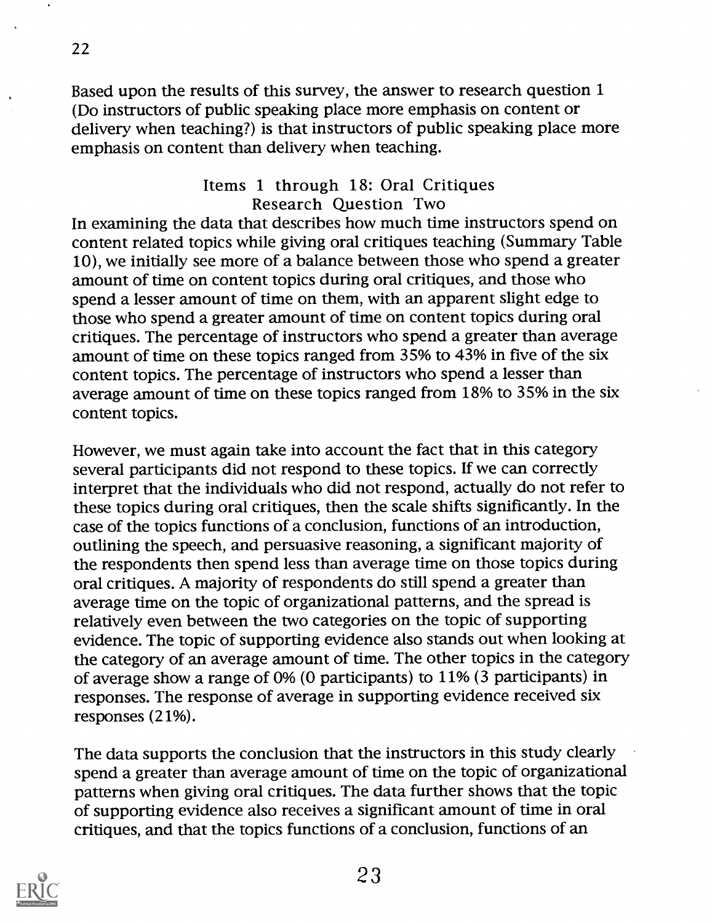Based upon the results of this survey, the answer to research question 1 (Do instructors of public speaking place more emphasis on content or delivery when teaching?) is that instructors of public speaking place more emphasis on content than delivery when teaching.

## Items 1 through 18: Oral Critiques Research Question Two

In examining the data that describes how much time instructors spend on content related topics while giving oral critiques teaching (Summary Table 10), we initially see more of a balance between those who spend a greater amount of time on content topics during oral critiques, and those who spend a lesser amount of time on them, with an apparent slight edge to those who spend a greater amount of time on content topics during oral critiques. The percentage of instructors who spend a greater than average amount of time on these topics ranged from 35% to 43% in five of the six content topics. The percentage of instructors who spend a lesser than average amount of time on these topics ranged from 18% to 35% in the six content topics.

However, we must again take into account the fact that in this category several participants did not respond to these topics. If we can correctly interpret that the individuals who did not respond, actually do not refer to these topics during oral critiques, then the scale shifts significantly. In the case of the topics functions of a conclusion, functions of an introduction, outlining the speech, and persuasive reasoning, a significant majority of the respondents then spend less than average time on those topics during oral critiques. A majority of respondents do still spend a greater than average time on the topic of organizational patterns, and the spread is relatively even between the two categories on the topic of supporting evidence. The topic of supporting evidence also stands out when looking at the category of an average amount of time. The other topics in the category of average show a range of 0% (0 participants) to 11% (3 participants) in responses. The response of average in supporting evidence received six responses (21%).

The data supports the conclusion that the instructors in this study clearly spend a greater than average amount of time on the topic of organizational patterns when giving oral critiques. The data further shows that the topic of supporting evidence also receives a significant amount of time in oral critiques, and that the topics functions of a conclusion, functions of an



22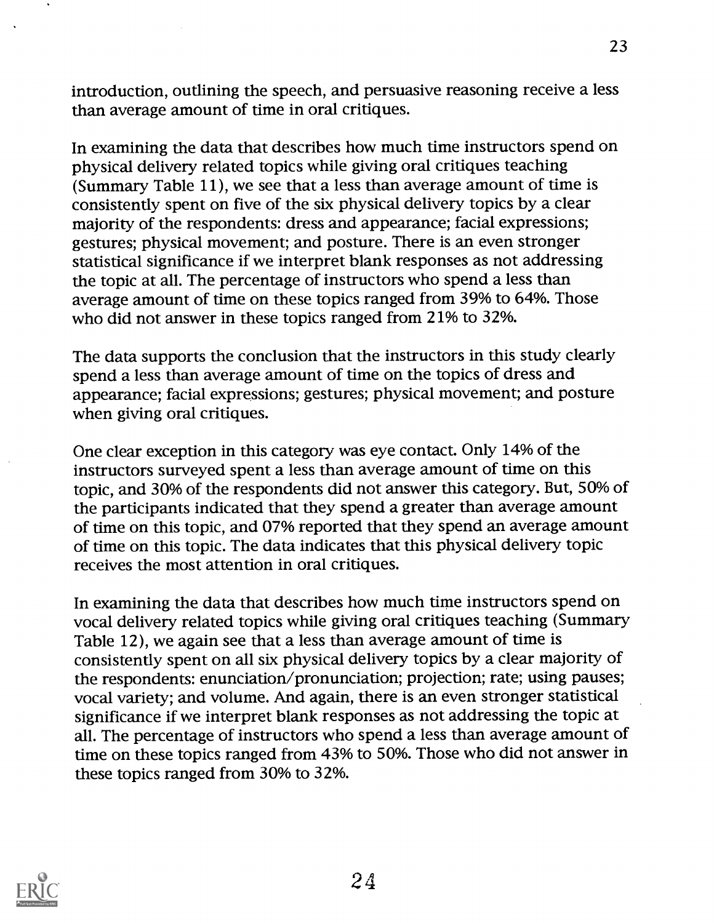introduction, outlining the speech, and persuasive reasoning receive a less than average amount of time in oral critiques.

In examining the data that describes how much time instructors spend on physical delivery related topics while giving oral critiques teaching (Summary Table 11), we see that a less than average amount of time is consistently spent on five of the six physical delivery topics by a clear majority of the respondents: dress and appearance; facial expressions; gestures; physical movement; and posture. There is an even stronger statistical significance if we interpret blank responses as not addressing the topic at all. The percentage of instructors who spend a less than average amount of time on these topics ranged from 39% to 64%. Those who did not answer in these topics ranged from 21% to 32%.

The data supports the conclusion that the instructors in this study clearly spend a less than average amount of time on the topics of dress and appearance; facial expressions; gestures; physical movement; and posture when giving oral critiques.

One clear exception in this category was eye contact. Only 14% of the instructors surveyed spent a less than average amount of time on this topic, and 30% of the respondents did not answer this category. But, 50% of the participants indicated that they spend a greater than average amount of time on this topic, and 07% reported that they spend an average amount of time on this topic. The data indicates that this physical delivery topic receives the most attention in oral critiques.

In examining the data that describes how much time instructors spend on vocal delivery related topics while giving oral critiques teaching (Summary Table 12), we again see that a less than average amount of time is consistently spent on all six physical delivery topics by a clear majority of the respondents: enunciation/pronunciation; projection; rate; using pauses; vocal variety; and volume. And again, there is an even stronger statistical significance if we interpret blank responses as not addressing the topic at all. The percentage of instructors who spend a less than average amount of time on these topics ranged from 43% to 50%. Those who did not answer in these topics ranged from 30% to 32%.

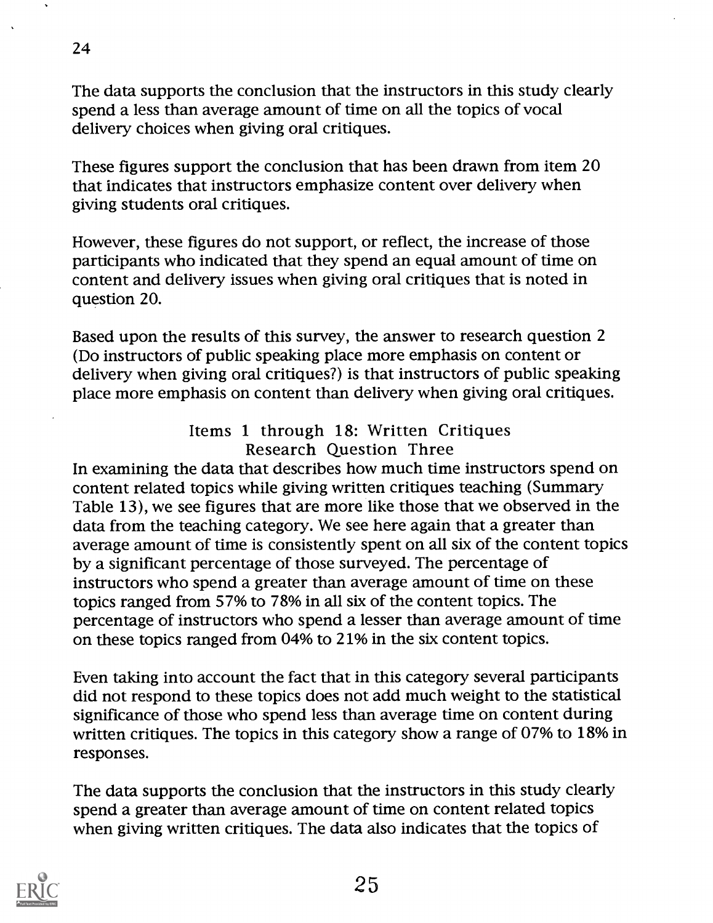The data supports the conclusion that the instructors in this study clearly spend a less than average amount of time on all the topics of vocal delivery choices when giving oral critiques.

These figures support the conclusion that has been drawn from item 20 that indicates that instructors emphasize content over delivery when giving students oral critiques.

However, these figures do not support, or reflect, the increase of those participants who indicated that they spend an equal amount of time on content and delivery issues when giving oral critiques that is noted in question 20.

Based upon the results of this survey, the answer to research question 2 (Do instructors of public speaking place more emphasis on content or delivery when giving oral critiques?) is that instructors of public speaking place more emphasis on content than delivery when giving oral critiques.

## Items 1 through 18: Written Critiques Research Question Three

In examining the data that describes how much time instructors spend on content related topics while giving written critiques teaching (Summary Table 13), we see figures that are more like those that we observed in the data from the teaching category. We see here again that a greater than average amount of time is consistently spent on all six of the content topics by a significant percentage of those surveyed. The percentage of instructors who spend a greater than average amount of time on these topics ranged from 57% to 78% in all six of the content topics. The percentage of instructors who spend a lesser than average amount of time on these topics ranged from 04% to 21% in the six content topics.

Even taking into account the fact that in this category several participants did not respond to these topics does not add much weight to the statistical significance of those who spend less than average time on content during written critiques. The topics in this category show a range of 07% to 18% in responses.

The data supports the conclusion that the instructors in this study clearly spend a greater than average amount of time on content related topics when giving written critiques. The data also indicates that the topics of



24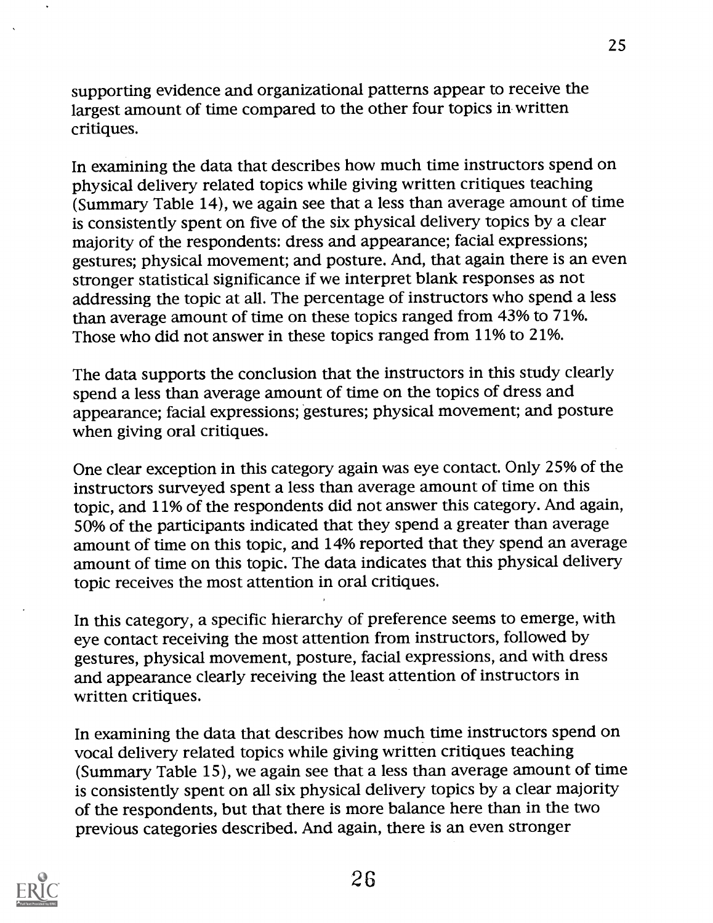supporting evidence and organizational patterns appear to receive the largest amount of time compared to the other four topics in written critiques.

In examining the data that describes how much time instructors spend on physical delivery related topics while giving written critiques teaching (Summary Table 14), we again see that a less than average amount of time is consistently spent on five of the six physical delivery topics by a clear majority of the respondents: dress and appearance; facial expressions; gestures; physical movement; and posture. And, that again there is an even stronger statistical significance if we interpret blank responses as not addressing the topic at all. The percentage of instructors who spend a less than average amount of time on these topics ranged from 43% to 71%. Those who did not answer in these topics ranged from 11% to 21%.

The data supports the conclusion that the instructors in this study clearly spend a less than average amount of time on the topics of dress and appearance; facial expressions; gestures; physical movement; and posture when giving oral critiques.

One clear exception in this category again was eye contact. Only 25% of the instructors surveyed spent a less than average amount of time on this topic, and 11% of the respondents did not answer this category. And again, 50% of the participants indicated that they spend a greater than average amount of time on this topic, and 14% reported that they spend an average amount of time on this topic. The data indicates that this physical delivery topic receives the most attention in oral critiques.

In this category, a specific hierarchy of preference seems to emerge, with eye contact receiving the most attention from instructors, followed by gestures, physical movement, posture, facial expressions, and with dress and appearance clearly receiving the least attention of instructors in written critiques.

In examining the data that describes how much time instructors spend on vocal delivery related topics while giving written critiques teaching (Summary Table 15), we again see that a less than average amount of time is consistently spent on all six physical delivery topics by a clear majority of the respondents, but that there is more balance here than in the two previous categories described. And again, there is an even stronger

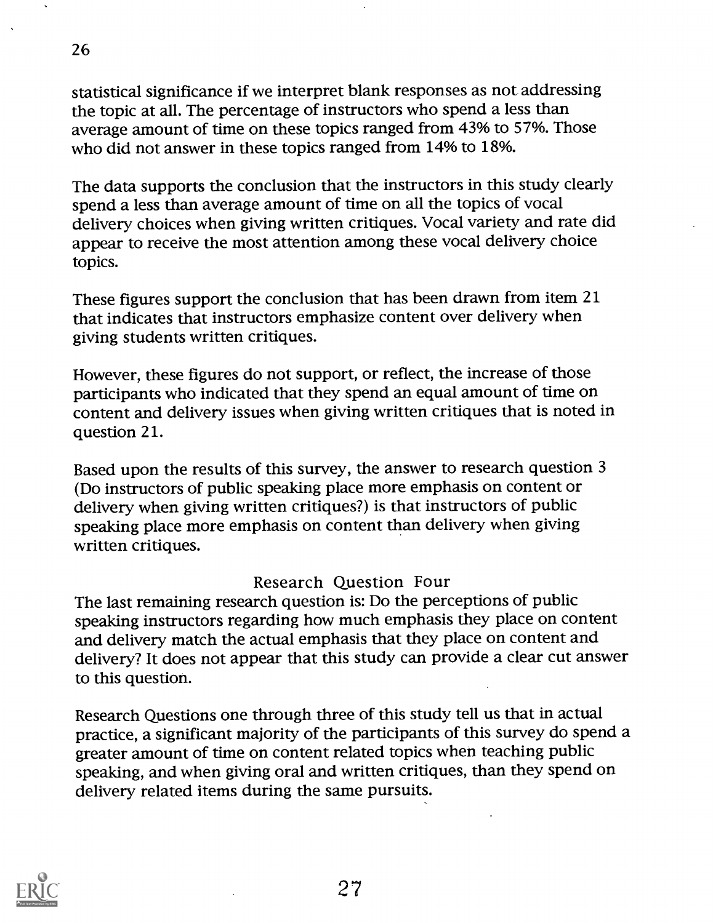statistical significance if we interpret blank responses as not addressing the topic at all. The percentage of instructors who spend a less than average amount of time on these topics ranged from 43% to 57%. Those who did not answer in these topics ranged from 14% to 18%.

The data supports the conclusion that the instructors in this study clearly spend a less than average amount of time on all the topics of vocal delivery choices when giving written critiques. Vocal variety and rate did appear to receive the most attention among these vocal delivery choice topics.

These figures support the conclusion that has been drawn from item 21 that indicates that instructors emphasize content over delivery when giving students written critiques.

However, these figures do not support, or reflect, the increase of those participants who indicated that they spend an equal amount of time on content and delivery issues when giving written critiques that is noted in question 21.

Based upon the results of this survey, the answer to research question 3 (Do instructors of public speaking place more emphasis on content or delivery when giving written critiques?) is that instructors of public speaking place more emphasis on content than delivery when giving written critiques.

### Research Question Four

The last remaining research question is: Do the perceptions of public speaking instructors regarding how much emphasis they place on content and delivery match the actual emphasis that they place on content and delivery? It does not appear that this study can provide a clear cut answer to this question.

Research Questions one through three of this study tell us that in actual practice, a significant majority of the participants of this survey do spend a greater amount of time on content related topics when teaching public speaking, and when giving oral and written critiques, than they spend on delivery related items during the same pursuits.



26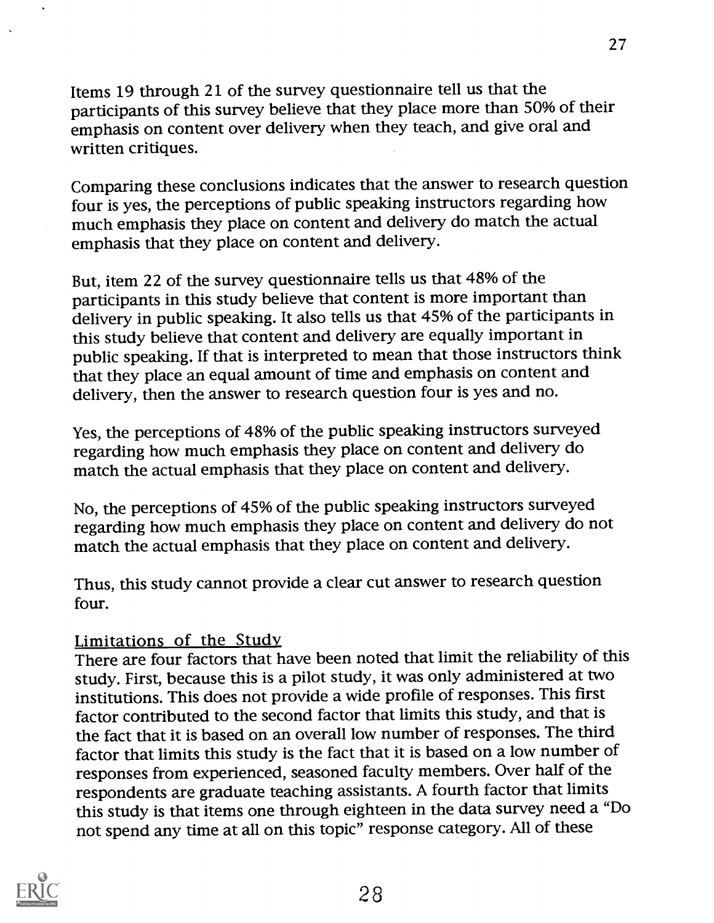Items 19 through 21 of the survey questionnaire tell us that the participants of this survey believe that they place more than 50% of their emphasis on content over delivery when they teach, and give oral and written critiques.

Comparing these conclusions indicates that the answer to research question four is yes, the perceptions of public speaking instructors regarding how much emphasis they place on content and delivery do match the actual emphasis that they place on content and delivery.

But, item 22 of the survey questionnaire tells us that 48% of the participants in this study believe that content is more important than delivery in public speaking. It also tells us that 45% of the participants in this study believe that content and delivery are equally important in public speaking. If that is interpreted to mean that those instructors think that they place an equal amount of time and emphasis on content and delivery, then the answer to research question four is yes and no.

Yes, the perceptions of 48% of the public speaking instructors surveyed regarding how much emphasis they place on content and delivery do match the actual emphasis that they place on content and delivery.

No, the perceptions of 45% of the public speaking instructors surveyed regarding how much emphasis they place on content and delivery do not match the actual emphasis that they place on content and delivery.

Thus, this study cannot provide a clear cut answer to research question four.

## Limitations of the Study

There are four factors that have been noted that limit the reliability of this study. First, because this is a pilot study, it was only administered at two institutions. This does not provide a wide profile of responses. This first factor contributed to the second factor that limits this study, and that is the fact that it is based on an overall low number of responses. The third factor that limits this study is the fact that it is based on a low number of responses from experienced, seasoned faculty members. Over half of the respondents are graduate teaching assistants. A fourth factor that limits this study is that items one through eighteen in the data survey need a "Do not spend any time at all on this topic" response category. All of these

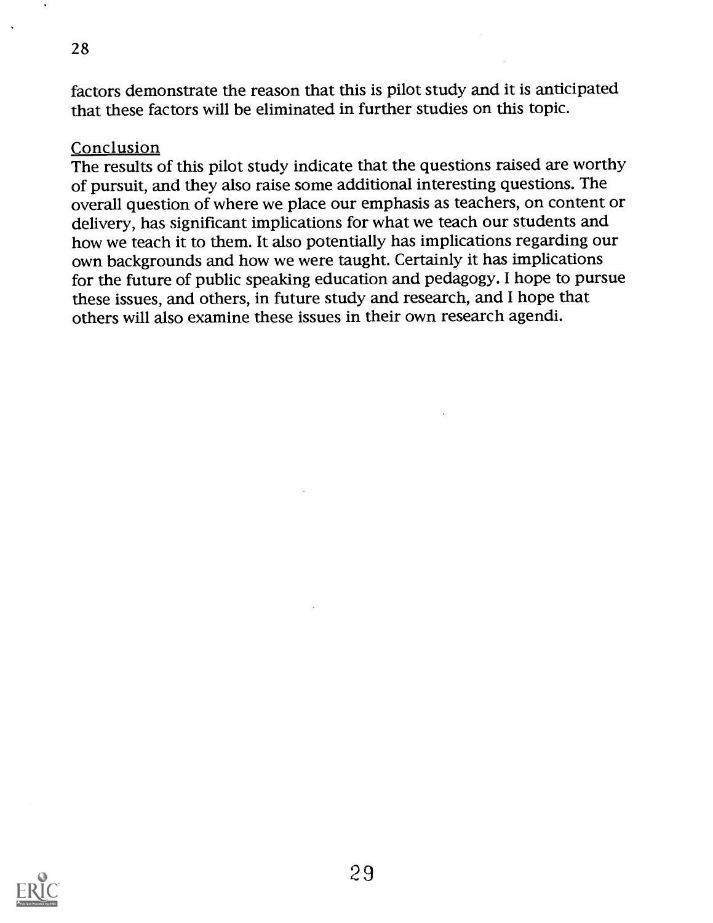factors demonstrate the reason that this is pilot study and it is anticipated that these factors will be eliminated in further studies on this topic.

### Conclusion

28

The results of this pilot study indicate that the questions raised are worthy of pursuit, and they also raise some additional interesting questions. The overall question of where we place our emphasis as teachers, on content or delivery, has significant implications for what we teach our students and how we teach it to them. It also potentially has implications regarding our own backgrounds and how we were taught. Certainly it has implications for the future of public speaking education and pedagogy. I hope to pursue these issues, and others, in future study and research, and I hope that others will also examine these issues in their own research agendi.

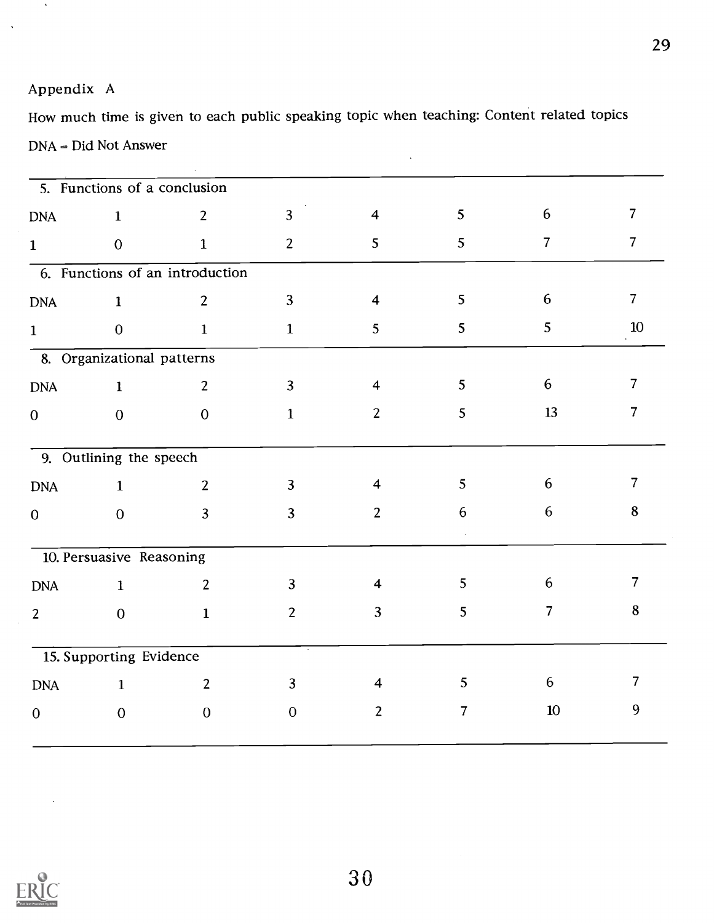## Appendix A

 $\Delta$ 

How much time is given to each public speaking topic when teaching: Content related topics DNA = Did Not Answer  $\ddot{\phantom{0}}$ 

|                | 5. Functions of a conclusion |                                 |                |                         |                |                 |                |
|----------------|------------------------------|---------------------------------|----------------|-------------------------|----------------|-----------------|----------------|
| <b>DNA</b>     | $\mathbf{1}$                 | $\overline{2}$                  | $\overline{3}$ | $\overline{\mathbf{4}}$ | 5              | $6\phantom{.}6$ | $\overline{7}$ |
| $\mathbf{1}$   | $\overline{0}$               | $\mathbf{1}$                    | $\overline{2}$ | 5                       | 5 <sup>5</sup> | $\overline{7}$  | $\overline{7}$ |
|                |                              | 6. Functions of an introduction |                |                         |                |                 |                |
| <b>DNA</b>     | $\mathbf{1}$                 | $\overline{2}$                  | $\overline{3}$ | $\overline{\mathbf{4}}$ | 5              | 6               | $\overline{7}$ |
| $\mathbf{1}$   | $\mathbf{0}$                 | $\mathbf{1}$                    | $\mathbf{1}$   | $5\overline{)}$         | 5              | 5               | 10             |
|                | 8. Organizational patterns   |                                 |                |                         |                |                 |                |
| <b>DNA</b>     | $\mathbf{1}$                 | $\overline{2}$                  | $\overline{3}$ | $\overline{\mathbf{4}}$ | 5              | 6               | $\overline{7}$ |
| $\mathbf{0}$   | $\mathbf{0}$                 | $\mathbf{0}$                    | $\mathbf{1}$   | $\overline{2}$          | 5              | 13              | $\overline{7}$ |
|                | 9. Outlining the speech      |                                 |                |                         |                |                 |                |
| <b>DNA</b>     | $\mathbf{1}$                 | $\overline{2}$                  | $\overline{3}$ | $\overline{4}$          | 5              | 6               | $\overline{7}$ |
| $\mathbf{O}$   | $\overline{0}$               | $\overline{3}$                  | $\overline{3}$ | $\overline{2}$          | 6              | 6               | 8              |
|                | 10. Persuasive Reasoning     |                                 |                |                         |                |                 |                |
| <b>DNA</b>     | $\mathbf{1}$                 | $\overline{2}$                  | $\overline{3}$ | $\overline{\mathbf{4}}$ | 5              | $6\phantom{.}6$ | $\overline{7}$ |
| $\overline{2}$ | $\mathbf{0}$                 | $\mathbf{1}$                    | $\overline{2}$ | $\overline{3}$          | 5              | $\overline{7}$  | $\bf 8$        |
|                | 15. Supporting Evidence      |                                 |                |                         |                |                 |                |
| <b>DNA</b>     | $\mathbf{1}$                 | $\overline{2}$                  | $\overline{3}$ | $\overline{4}$          | 5              | 6               | $\overline{7}$ |
| $\mathbf{0}$   | $\mathbf{0}$                 | $\mathbf 0$                     | $\theta$       | 2                       | $\overline{7}$ | 10              | 9              |

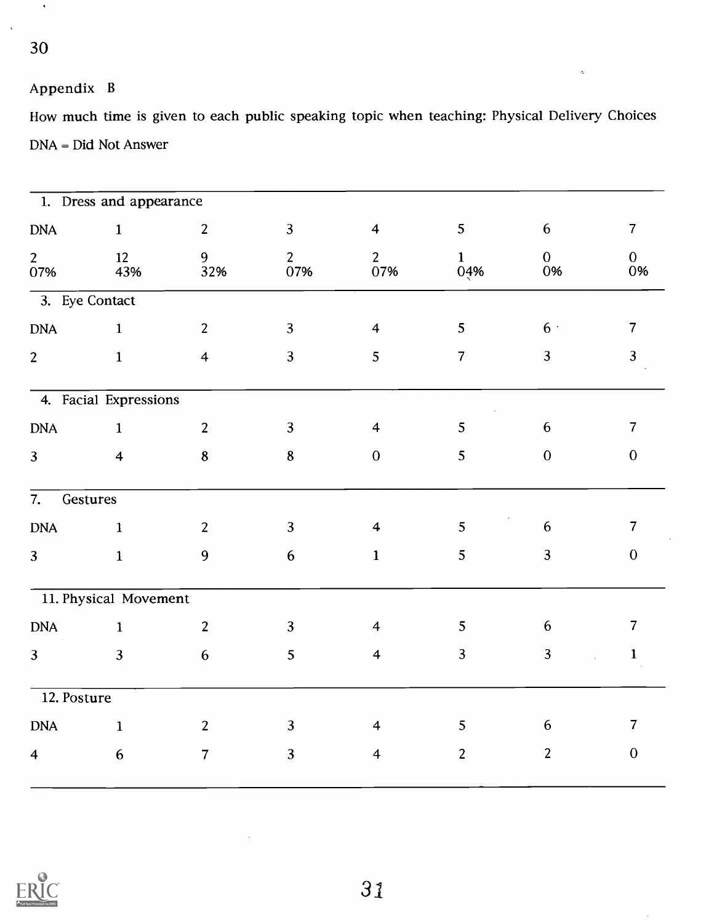$\hat{\mathcal{A}}$ 

## Appendix B

How much time is given to each public speaking topic when teaching: Physical Delivery Choices DNA = Did Not Answer

 $\hat{\gamma}$ 

 $\bar{z}$ 

|                         | 1. Dress and appearance |                         |                       |                         |                     |                      |                               |
|-------------------------|-------------------------|-------------------------|-----------------------|-------------------------|---------------------|----------------------|-------------------------------|
| <b>DNA</b>              | $\mathbf{1}$            | $\overline{2}$          | $\overline{3}$        | $\overline{4}$          | 5 <sub>5</sub>      | 6                    | $\overline{7}$                |
| 2 <sup>7</sup><br>07%   | 12<br>43%               | 9<br>32%                | $\overline{2}$<br>07% | 2 <sup>1</sup><br>07%   | $\mathbf{1}$<br>04% | $\overline{0}$<br>0% | $\overline{0}$<br>0%          |
| 3. Eye Contact          |                         |                         |                       |                         |                     |                      |                               |
| <b>DNA</b>              | $\overline{1}$          | $\overline{2}$          | $\overline{3}$        | $\overline{4}$          | 5 <sup>5</sup>      | 6 <sup>1</sup>       | $\overline{7}$                |
| $\overline{2}$          | $\mathbf{1}$            | $\overline{\mathbf{4}}$ | $\overline{3}$        | 5                       | $\overline{7}$      | $\overline{3}$       | $\overline{\mathbf{3}}$       |
|                         | 4. Facial Expressions   |                         |                       |                         | $\sim$ $\alpha$     |                      |                               |
| <b>DNA</b>              | $\mathbf{1}$            | $\overline{2}$          | $\mathbf{3}$          | $\overline{4}$          | $5\overline{)}$     | 6                    | $\overline{7}$                |
| $\overline{3}$          | $\overline{\mathbf{4}}$ | $\bf 8$                 | $\boldsymbol{8}$      | $\boldsymbol{0}$        | 5                   | $\mathbf{0}$         | $\boldsymbol{0}$              |
| 7. Gestures             |                         |                         |                       |                         |                     |                      |                               |
| <b>DNA</b>              | $\mathbf{1}$            | $\overline{2}$          | $\overline{3}$        | $\overline{\mathbf{4}}$ | 5 <sub>5</sub>      | 6                    | $\overline{7}$                |
| $\overline{3}$          | $\mathbf{1}$            | 9                       | $6\,$                 | $\mathbf{1}$            | 5 <sup>5</sup>      | $\overline{3}$       | $\boldsymbol{0}$              |
|                         | 11. Physical Movement   |                         |                       |                         |                     |                      |                               |
| <b>DNA</b>              | $\mathbf{1}$            | $\overline{2}$          | $\overline{3}$        | $\overline{4}$          | 5 <sub>5</sub>      | 6                    | $\overline{7}$                |
| 3 <sup>1</sup>          | $\overline{3}$          | 6                       | 5 <sup>5</sup>        | $\overline{4}$          | $\overline{3}$      | $\overline{3}$       | $\mathbf{1}$<br>$\mathcal{L}$ |
| 12. Posture             |                         |                         |                       |                         |                     |                      |                               |
| <b>DNA</b>              | $\mathbf{1}$            | $\overline{2}$          | 3 <sup>1</sup>        | $\overline{\mathbf{4}}$ | 5 <sup>5</sup>      | 6                    | $\overline{7}$                |
| $\overline{\mathbf{4}}$ | $6\phantom{.}6$         | $\overline{7}$          | $\overline{3}$        | $\overline{4}$          | $\overline{2}$      | $\overline{2}$       | $\mathbf{0}$                  |
|                         |                         |                         |                       |                         |                     |                      |                               |

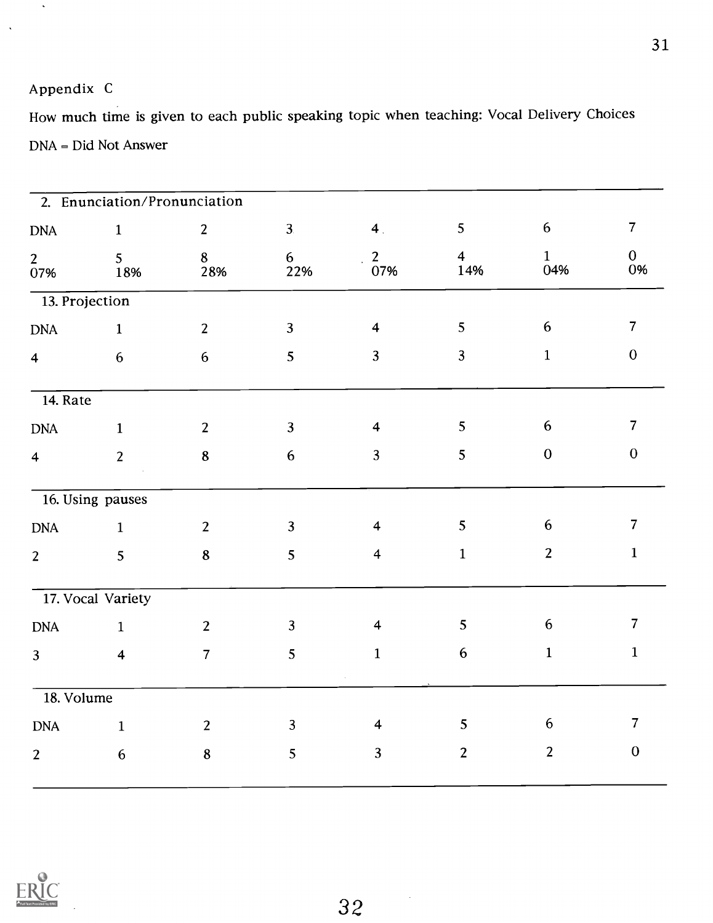## Appendix C

 $\hat{\boldsymbol{\epsilon}}$ 

How much time is given to each public speaking topic when teaching: Vocal Delivery Choices DNA = Did Not Answer

|                                          | 2. Enunciation/Pronunciation |                |                       |                         |                       |                     |                      |
|------------------------------------------|------------------------------|----------------|-----------------------|-------------------------|-----------------------|---------------------|----------------------|
| <b>DNA</b>                               | $\mathbf{1}$                 | $\overline{2}$ | 3 <sub>l</sub>        | 4 <sub>1</sub>          | 5 <sup>5</sup>        | $6\phantom{.}6$     | $\overline{7}$       |
| $\begin{array}{c} 2 \\ 07\% \end{array}$ | 5 <sup>5</sup><br>18%        | 8<br>28%       | 6 <sup>1</sup><br>22% | $\overline{2}$<br>07%   | $\overline{4}$<br>14% | $\mathbf{1}$<br>04% | $\overline{0}$<br>0% |
| 13. Projection                           |                              |                |                       |                         |                       |                     |                      |
| <b>DNA</b>                               | $\mathbf{1}$                 | $\overline{2}$ | $\overline{3}$        | $\overline{\mathbf{4}}$ | 5 <sub>5</sub>        | $\boldsymbol{6}$    | $\overline{7}$       |
| $\overline{4}$                           | 6                            | $6\,$          | 5 <sup>5</sup>        | $\mathbf{3}$            | 3 <sup>1</sup>        | $\mathbf{1}$        | $\mathbf{0}$         |
| $\overline{14.}$ Rate                    |                              |                |                       |                         |                       |                     |                      |
| <b>DNA</b>                               | $\mathbf{1}$                 | $\overline{2}$ | $\overline{3}$        | $\overline{\mathbf{4}}$ | 5 <sub>5</sub>        | $\boldsymbol{6}$    | $\overline{7}$       |
| $\overline{\mathbf{4}}$                  | 2 <sup>1</sup>               | $\bf 8$        | $6\,$                 | $\mathbf{3}$            | 5                     | $\boldsymbol{0}$    | $\boldsymbol{0}$     |
|                                          | 16. Using pauses             |                |                       |                         |                       |                     |                      |
| <b>DNA</b>                               | $\mathbf{1}$                 | $\overline{2}$ | $\overline{3}$        | $\overline{\mathbf{4}}$ | 5                     | 6                   | $\overline{7}$       |
| 2 <sup>1</sup>                           | 5 <sup>1</sup>               | $\bf{8}$       | 5                     | $\overline{\mathbf{4}}$ | $\mathbf{1}$          | $\overline{2}$      | $\mathbf{1}$         |
|                                          | 17. Vocal Variety            |                |                       |                         |                       |                     |                      |
| <b>DNA</b>                               | $\mathbf{1}$                 | $\overline{2}$ | $\overline{3}$        | $\overline{\mathbf{4}}$ | 5 <sub>5</sub>        | $6\phantom{.}6$     | $\overline{7}$       |
| 3 <sup>1</sup>                           | $\overline{\mathbf{4}}$      | $\overline{7}$ | 5                     | $\mathbf{1}$            | $6\,$                 | $\mathbf{1}$        | $\mathbf{1}$         |
| 18. Volume                               |                              |                |                       |                         |                       |                     |                      |
| <b>DNA</b>                               | $\mathbf{1}$                 | $2^{\circ}$    | $\mathbf{3}$          | $\overline{\mathbf{4}}$ | 5 <sup>5</sup>        | $\boldsymbol{6}$    | $\overline{7}$       |
| $\overline{2}$                           | $6\phantom{.}6$              | $\bf 8$        | 5                     | $\mathbf{3}$            | $\overline{2}$        | $\overline{2}$      | $\mathbf{0}$         |
|                                          |                              |                |                       |                         |                       |                     |                      |



 $\sim$   $\sim$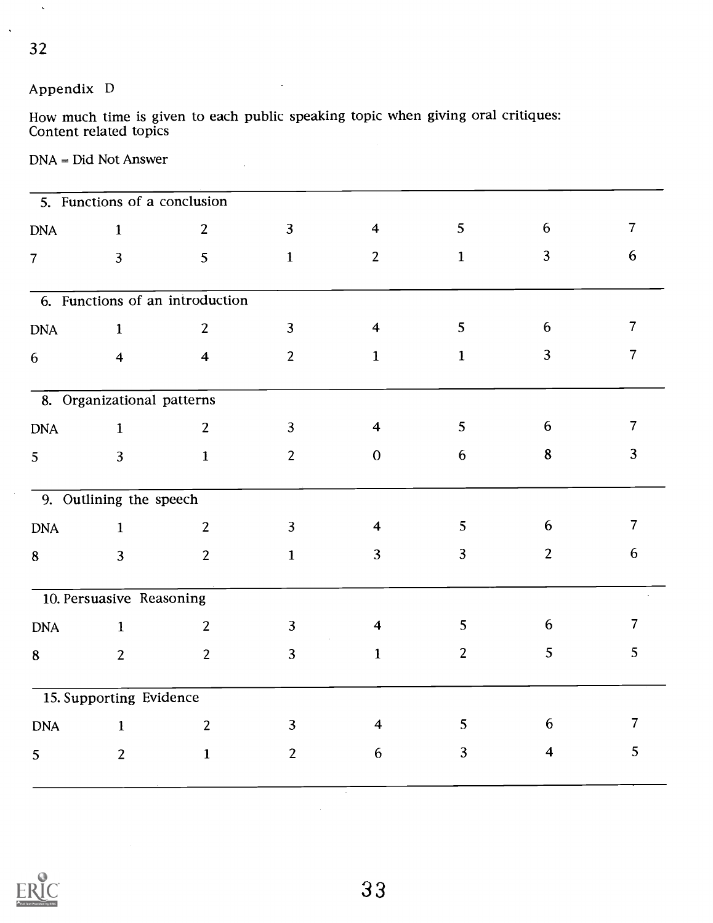# Appendix D

How much time is given to each public speaking topic when giving oral critiques: Content related topics

### DNA = Did Not Answer

|                 | 5. Functions of a conclusion |                                 |                |                         |                  |                         |                 |
|-----------------|------------------------------|---------------------------------|----------------|-------------------------|------------------|-------------------------|-----------------|
| <b>DNA</b>      | $\mathbf{1}$                 | $\overline{2}$                  | $\overline{3}$ | $\overline{\mathbf{4}}$ | 5                | 6                       | $\overline{7}$  |
| $\overline{7}$  | 3                            | 5                               | $\mathbf{1}$   | $\overline{2}$          | $\mathbf{1}$     | 3                       | $6\phantom{1}6$ |
|                 |                              | 6. Functions of an introduction |                |                         |                  |                         |                 |
| <b>DNA</b>      | $\mathbf{1}$                 | $\overline{2}$                  | $\overline{3}$ | $\overline{\mathbf{4}}$ | 5                | $6\phantom{1}6$         | $\overline{7}$  |
| $6\phantom{.}6$ | $\overline{\mathbf{4}}$      | $\overline{\mathbf{4}}$         | $\overline{2}$ | $\mathbf{1}$            | $\mathbf{1}$     | 3                       | $\overline{7}$  |
|                 | 8. Organizational patterns   |                                 |                |                         |                  |                         |                 |
| <b>DNA</b>      | $\mathbf 1$                  | $\overline{2}$                  | $\mathbf{3}$   | $\overline{\mathbf{4}}$ | 5                | 6                       | $\overline{7}$  |
| 5               | 3                            | $\mathbf{1}$                    | $\overline{2}$ | $\mathbf{0}$            | $\boldsymbol{6}$ | $\bf 8$                 | $\overline{3}$  |
|                 | 9. Outlining the speech      |                                 |                |                         |                  |                         |                 |
| <b>DNA</b>      | $\mathbf{1}$                 | $\overline{2}$                  | $\overline{3}$ | $\overline{\mathbf{4}}$ | 5                | 6                       | $\overline{7}$  |
| 8               | $\overline{3}$               | $\overline{2}$                  | $\mathbf{1}$   | $\overline{3}$          | 3                | $\overline{2}$          | 6               |
|                 | 10. Persuasive Reasoning     |                                 |                |                         |                  |                         |                 |
| <b>DNA</b>      | $\mathbf{1}$                 | $\overline{2}$                  | $\overline{3}$ | $\overline{\mathbf{4}}$ | 5                | 6                       | $\overline{7}$  |
| 8               | $\overline{2}$               | $\overline{2}$                  | $\overline{3}$ | $\mathbf{1}$            | $2 \overline{ }$ | 5                       | 5               |
|                 | 15. Supporting Evidence      |                                 |                |                         |                  |                         |                 |
| <b>DNA</b>      | $\mathbf{1}$                 | $\overline{2}$                  | $\overline{3}$ | $\overline{\mathbf{4}}$ | 5 <sup>1</sup>   | 6                       | $\overline{7}$  |
| 5               | $\overline{2}$               | $\mathbf{1}$                    | $\overline{2}$ | 6                       | $\overline{3}$   | $\overline{\mathbf{4}}$ | 5               |



 $\ddot{\phantom{a}}$ 

 $\hat{\mathbf{v}}$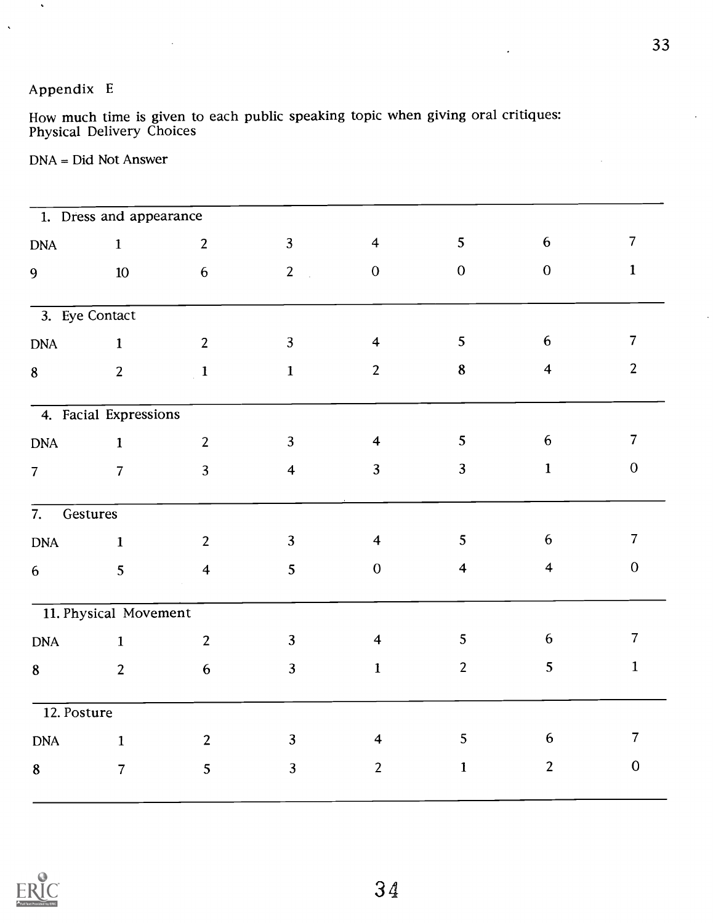## Appendix E

 $\langle \cdot \rangle$ 

 $\bar{\lambda}$ 

How much time is given to each public speaking topic when giving oral critiques: Physical Delivery Choices

DNA = Did Not Answer

 $\sim$ 

|                | $\overline{1}$ . Dress and appearance |                         |                                  |                         |                         |                         |                  |
|----------------|---------------------------------------|-------------------------|----------------------------------|-------------------------|-------------------------|-------------------------|------------------|
| <b>DNA</b>     | $\mathbf{1}$                          | $2^{\circ}$             | $\overline{3}$                   | $\overline{\mathbf{4}}$ | 5                       | 6                       | $\overline{7}$   |
| 9              | $10\,$                                | 6                       | 2 <sup>1</sup><br>$\mathbb{R}^2$ | $\mathbf{0}$            | $\mathbf{0}$            | $\mathbf{0}$            | $\mathbf{1}$     |
|                |                                       |                         |                                  |                         |                         |                         |                  |
| 3. Eye Contact |                                       |                         |                                  |                         |                         |                         |                  |
| <b>DNA</b>     | $\mathbf{1}$                          | $\overline{2}$          | 3 <sup>1</sup>                   | $\overline{\mathbf{4}}$ | 5                       | 6                       | $\overline{7}$   |
| 8              | $\overline{2}$                        | $\overline{1}$          | $\mathbf{1}$                     | $\overline{2}$          | 8                       | $\overline{\mathbf{4}}$ | $\overline{2}$   |
|                |                                       |                         |                                  |                         |                         |                         |                  |
|                | 4. Facial Expressions                 |                         |                                  |                         |                         |                         |                  |
| <b>DNA</b>     | $\mathbf{1}$                          | 2 <sup>1</sup>          | $\overline{3}$                   | $\overline{\mathbf{4}}$ | 5                       | $6\phantom{.}6$         | $\overline{7}$   |
| $\overline{7}$ | $\overline{7}$                        | $\overline{3}$          | $\overline{\mathbf{4}}$          | $\overline{3}$          | $\overline{3}$          | $\mathbf{1}$            | $\boldsymbol{0}$ |
| 7.             | Gestures                              |                         |                                  |                         |                         |                         |                  |
| <b>DNA</b>     | $\mathbf{1}$                          | $\overline{2}$          | $\overline{3}$                   | $\overline{\mathbf{4}}$ | 5                       | 6                       | $\overline{7}$   |
| 6              | 5                                     | $\overline{\mathbf{4}}$ | 5                                | $\mathbf{0}$            | $\overline{\mathbf{4}}$ | $\overline{\mathbf{4}}$ | $\boldsymbol{0}$ |
|                |                                       |                         |                                  |                         |                         |                         |                  |
|                | 11. Physical Movement                 |                         |                                  |                         |                         |                         |                  |
| <b>DNA</b>     | $\mathbf{1}$                          | $\overline{2}$          | $\overline{3}$                   | $\overline{\mathbf{4}}$ | 5                       | 6                       | $\overline{7}$   |
| 8              | $\overline{2}$                        | $6\phantom{1}6$         | $\overline{3}$                   | $\mathbf{1}$            | $\overline{2}$          | 5                       | $\mathbf{1}$     |
|                |                                       |                         |                                  |                         |                         |                         |                  |
| 12. Posture    |                                       |                         |                                  |                         |                         |                         |                  |
| <b>DNA</b>     | $\mathbf{1}$                          | $\overline{2}$          | $\overline{3}$                   | $\overline{\mathbf{4}}$ | 5                       | 6                       | $\overline{7}$   |
| 8              | $\overline{7}$                        | 5                       | $\overline{3}$                   | $\overline{2}$          | $\mathbf{1}$            | $\overline{2}$          | $\mathbf{0}$     |



34

 $\ddot{\phantom{a}}$ 

 $\bar{z}$ 

 $\ddot{\phantom{0}}$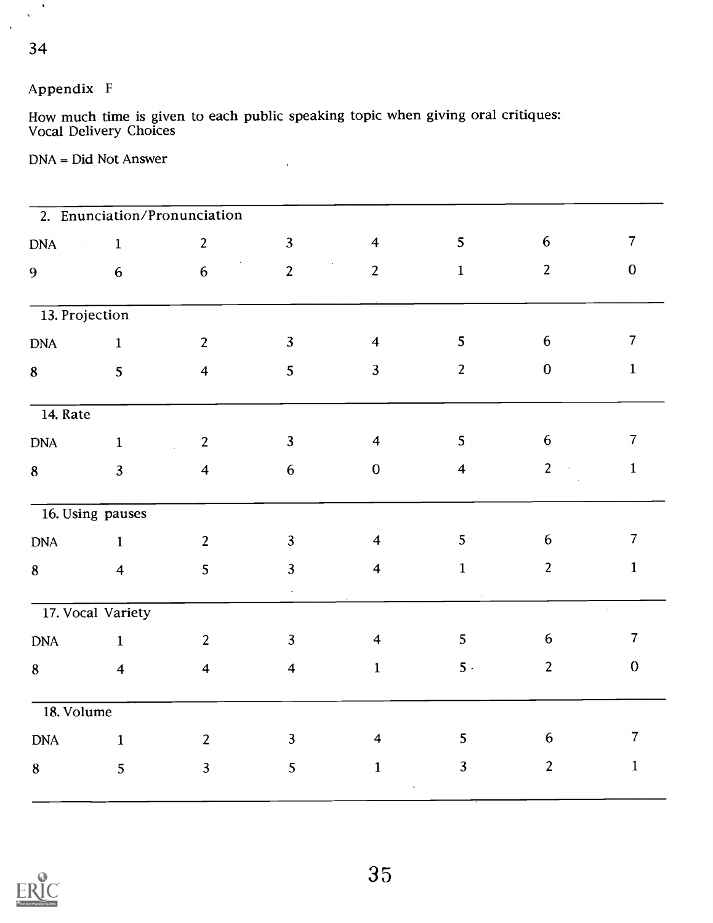## 34

 $\langle \rangle$  $\mathbf{x}^{\pm}$  $\ddot{\phantom{a}}$ 

## Appendix F

How much time is given to each public speaking topic when giving oral critiques: Vocal Delivery Choices

 $\bar{r}$ 

## DNA = Did Not Answer

|                              |                         | 2. Enunciation/Pronunciation |                         |                                           |                         |                                 |                |
|------------------------------|-------------------------|------------------------------|-------------------------|-------------------------------------------|-------------------------|---------------------------------|----------------|
| <b>DNA</b><br>$\sim 10^{-1}$ | $\mathbf{1}$            | $\overline{2}$               | $\overline{3}$          | $\overline{4}$                            | 5                       | 6                               | $\overline{7}$ |
| 9                            | 6                       | $6\phantom{a}$               | $\overline{2}$          | $\langle \cdot \rangle$<br>$\overline{2}$ | $\mathbf{1}$            | $\overline{2}$                  | $\mathbf{0}$   |
| 13. Projection               |                         |                              |                         |                                           |                         |                                 |                |
| <b>DNA</b>                   | $\mathbf{1}$            | $\overline{2}$               | $\overline{3}$          | $\overline{\mathbf{4}}$                   | 5                       | $6\,$                           | $\overline{7}$ |
| 8                            | 5                       | $\overline{\mathbf{4}}$      | 5                       | $\overline{3}$                            | $\overline{2}$          | $\boldsymbol{0}$                | $\mathbf{1}$   |
| 14. Rate                     |                         |                              |                         |                                           |                         |                                 |                |
| <b>DNA</b>                   | $\mathbf{1}$            | $\overline{2}$               | $\overline{3}$          | $\overline{4}$                            | 5                       | $6\,$                           | $\overline{7}$ |
| 8                            | $\mathbf{3}$            | $\overline{\mathbf{4}}$      | $6\phantom{.}6$         | $\boldsymbol{0}$                          | $\overline{\mathbf{4}}$ | 2 <sup>1</sup><br>$\mathcal{L}$ | $\mathbf{1}$   |
|                              | 16. Using pauses        |                              |                         |                                           |                         |                                 |                |
| <b>DNA</b>                   | $\mathbf 1$             | $\overline{2}$               | $\mathbf{3}$            | $\overline{4}$                            | 5                       | 6                               | $\overline{7}$ |
| 8                            | $\overline{\mathbf{4}}$ | 5                            | $\overline{3}$          | $\overline{\mathbf{4}}$                   | $\mathbf{1}$            | $\overline{2}$                  | $\mathbf 1$    |
|                              | 17. Vocal Variety       |                              |                         |                                           |                         |                                 |                |
| <b>DNA</b>                   | $\mathbf{1}$            | $\overline{2}$               | $\overline{3}$          | $\overline{\mathbf{4}}$                   | 5 <sub>1</sub>          | 6                               | $\overline{7}$ |
| 8                            | $\overline{\mathbf{4}}$ | $\overline{4}$               | $\overline{\mathbf{4}}$ | $\mathbf{1}$                              | $5 -$                   | $\overline{2}$                  | $\bf{0}$       |
| 18. Volume                   |                         |                              |                         |                                           |                         |                                 |                |
| <b>DNA</b>                   | $\mathbf{1}$            | $\overline{2}$               | $\overline{3}$          | $\overline{\mathbf{4}}$                   | 5                       | $6\phantom{.}6$                 | $\overline{7}$ |
| 8                            | 5                       | $\overline{3}$               | 5                       | $\mathbf{1}$                              | $\mathbf{3}$            | $\overline{2}$                  | $\mathbf{1}$   |
|                              |                         |                              |                         |                                           |                         |                                 |                |

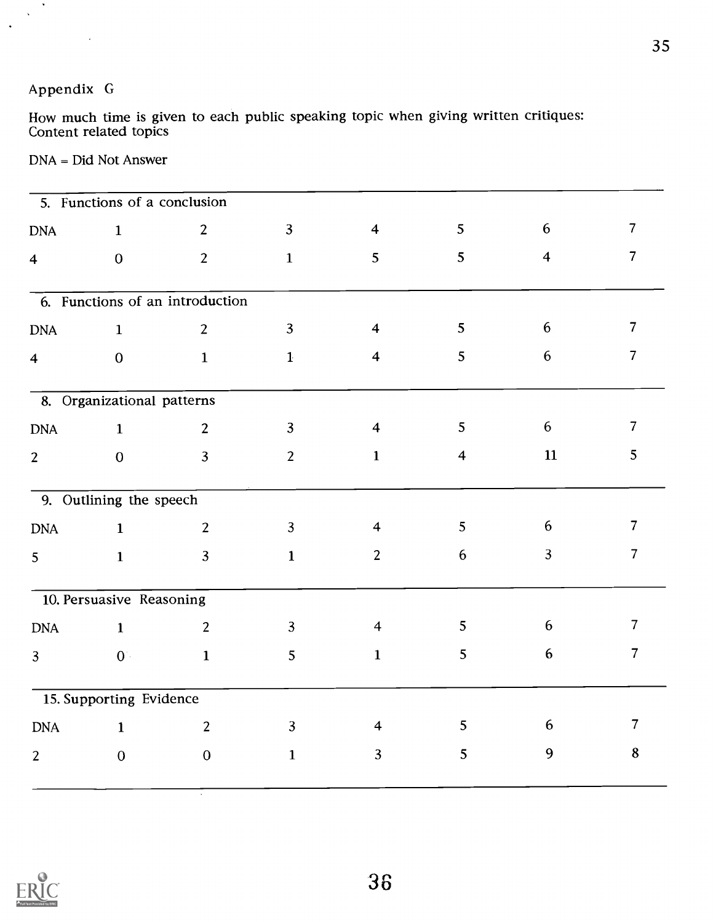## Appendix G

 $\hat{\phantom{a}}$  $\mathbf{v}$ 

> How much time is given to each public speaking topic when giving written critiques: Content related topics

### DNA = Did Not Answer

|                         | 5. Functions of a conclusion |                                 |                |                         |                         |                  |                |
|-------------------------|------------------------------|---------------------------------|----------------|-------------------------|-------------------------|------------------|----------------|
| <b>DNA</b>              | $\mathbf{1}$                 | $\overline{2}$                  | $\overline{3}$ | $\overline{\mathbf{4}}$ | 5                       | $6\phantom{1}$   | $\overline{7}$ |
| $\overline{\mathbf{4}}$ | $\mathbf{0}$                 | $\overline{2}$                  | $\mathbf{1}$   | 5                       | 5                       | $\overline{4}$   | $\overline{7}$ |
|                         |                              | 6. Functions of an introduction |                |                         |                         |                  |                |
| <b>DNA</b>              | $\mathbf{1}$                 | $\overline{2}$                  | $\overline{3}$ | $\overline{\mathbf{4}}$ | 5 <sub>5</sub>          | 6                | $\overline{7}$ |
| $\overline{\mathbf{4}}$ | $\mathbf 0$                  | $\mathbf{1}$                    | $\mathbf{1}$   | $\overline{4}$          | 5                       | 6                | $\overline{7}$ |
|                         | 8. Organizational patterns   |                                 |                |                         |                         |                  |                |
| <b>DNA</b>              | $\mathbf 1$                  | $\overline{2}$                  | $\overline{3}$ | $\overline{4}$          | 5                       | 6                | $\overline{7}$ |
| $\overline{2}$          | $\mathbf 0$                  | $\overline{3}$                  | $\overline{2}$ | $\mathbf{1}$            | $\overline{\mathbf{4}}$ | 11               | 5              |
|                         | 9. Outlining the speech      |                                 |                |                         |                         |                  |                |
| <b>DNA</b>              | $\mathbf{1}$                 | $\overline{2}$                  | $\overline{3}$ | $\overline{\mathbf{4}}$ | 5                       | 6                | $\overline{7}$ |
| 5                       | $\mathbf{1}$                 | $\overline{3}$                  | $\mathbf{1}$   | $\overline{2}$          | $6\phantom{.}6$         | $\overline{3}$   | $\overline{7}$ |
|                         | 10. Persuasive Reasoning     |                                 |                |                         |                         |                  |                |
| <b>DNA</b>              | $\mathbf{1}$                 | $\overline{2}$                  | $\overline{3}$ | $\overline{\mathbf{4}}$ | 5 <sup>5</sup>          | $6\phantom{1}6$  | $\overline{7}$ |
| $\overline{3}$          | $0^{\circ}$                  | $\mathbf{1}$                    | 5              | $\mathbf{1}$            | 5                       | $\boldsymbol{6}$ | $\overline{7}$ |
|                         | 15. Supporting Evidence      |                                 |                |                         |                         |                  |                |
| <b>DNA</b>              | $\mathbf{1}$                 | $\overline{2}$                  | $\overline{3}$ | $\overline{4}$          | 5                       | 6                | $\overline{7}$ |
| $\overline{2}$          | $\mathbf 0$                  | $\mathbf 0$                     | $\mathbf{1}$   | $\overline{3}$          | 5 <sup>5</sup>          | 9                | 8              |

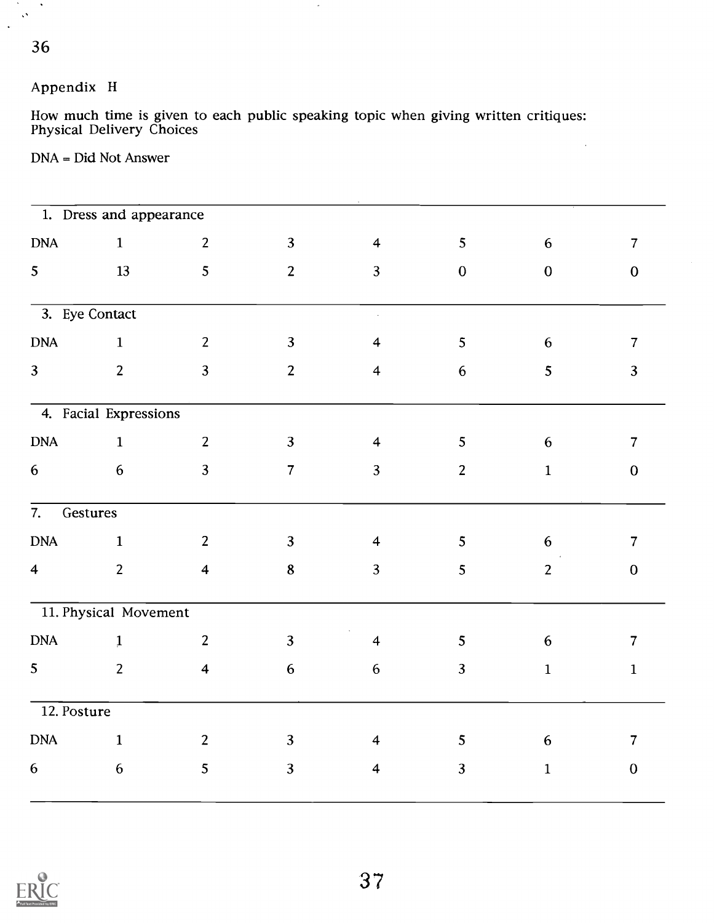36

 $\mathcal{N}_{\mathrm{c}}$  $\langle \cdot \rangle$ 

 $\mathcal{O}^{\mathcal{O}}$  $\ddot{\phantom{a}}$ 

## Appendix H

How much time is given to each public speaking topic when giving written critiques: Physical Delivery Choices

 $\gamma$ 

## DNA = Did Not Answer

|                  | 1. Dress and appearance |                         |                  |                         |                 |                  |                |
|------------------|-------------------------|-------------------------|------------------|-------------------------|-----------------|------------------|----------------|
| $\mathbf{DNA}$   | $1\,$                   | $\overline{2}$          | $\overline{3}$   | $\overline{\mathbf{4}}$ | 5               | $\boldsymbol{6}$ | $\overline{7}$ |
| 5 <sup>1</sup>   | 13                      | 5 <sup>5</sup>          | $\overline{2}$   | $\overline{3}$          | $\mathbf{0}$    | $\mathbf{0}$     | $\mathbf{0}$   |
| 3. Eye Contact   |                         |                         |                  | $\mathbb{R}^3$          |                 |                  |                |
| <b>DNA</b>       | $\mathbf{1}$            | $\overline{2}$          | $\overline{3}$   | $\overline{\mathbf{4}}$ | 5               | $6\phantom{.}6$  | $\overline{7}$ |
| 3 <sup>1</sup>   | $\overline{2}$          | $\overline{3}$          | $\overline{2}$   | $\overline{\mathbf{4}}$ | 6               | 5                | $\overline{3}$ |
|                  | 4. Facial Expressions   |                         |                  |                         |                 |                  |                |
| <b>DNA</b>       | $\mathbf{1}$            | $\overline{2}$          | $\overline{3}$   | $\overline{\mathbf{4}}$ | 5               | $6\phantom{.}6$  | $\overline{7}$ |
| $6\phantom{.}6$  | $\boldsymbol{6}$        | $\overline{3}$          | $\overline{7}$   | $\overline{3}$          | $\overline{2}$  | $\mathbf{1}$     | $\mathbf{0}$   |
| 7.               | Gestures                |                         |                  |                         |                 |                  |                |
| <b>DNA</b>       | $\mathbf{1}$            | $\overline{2}$          | $\mathbf{3}$     | $\overline{\mathbf{4}}$ | $5\phantom{.0}$ | 6                | $\overline{7}$ |
| $\overline{4}$   | $\overline{2}$          | $\overline{\mathbf{4}}$ | 8                | $\overline{3}$          | 5               | $\overline{2}$   | $\overline{0}$ |
|                  | 11. Physical Movement   |                         |                  |                         |                 |                  |                |
| <b>DNA</b>       | $\mathbf{1}$            | $\overline{2}$          | $\overline{3}$   | $\overline{\mathbf{4}}$ | 5               | 6                | $\overline{7}$ |
| 5 <sup>5</sup>   | $\overline{2}$          | $\overline{\mathbf{4}}$ | $\boldsymbol{6}$ | $\boldsymbol{6}$        | 3               | $\mathbf{1}$     | $\mathbf{1}$   |
| 12. Posture      |                         |                         |                  |                         |                 |                  |                |
| <b>DNA</b>       | $\mathbf{1}$            | $\overline{2}$          | $\mathbf{3}$     | $\overline{\mathbf{4}}$ | 5               | 6                | $\overline{7}$ |
| $\boldsymbol{6}$ | $\boldsymbol{6}$        | $5\overline{)}$         | $\overline{3}$   | $\overline{\mathbf{4}}$ | $\overline{3}$  | $\mathbf 1$      | $\mathbf 0$    |

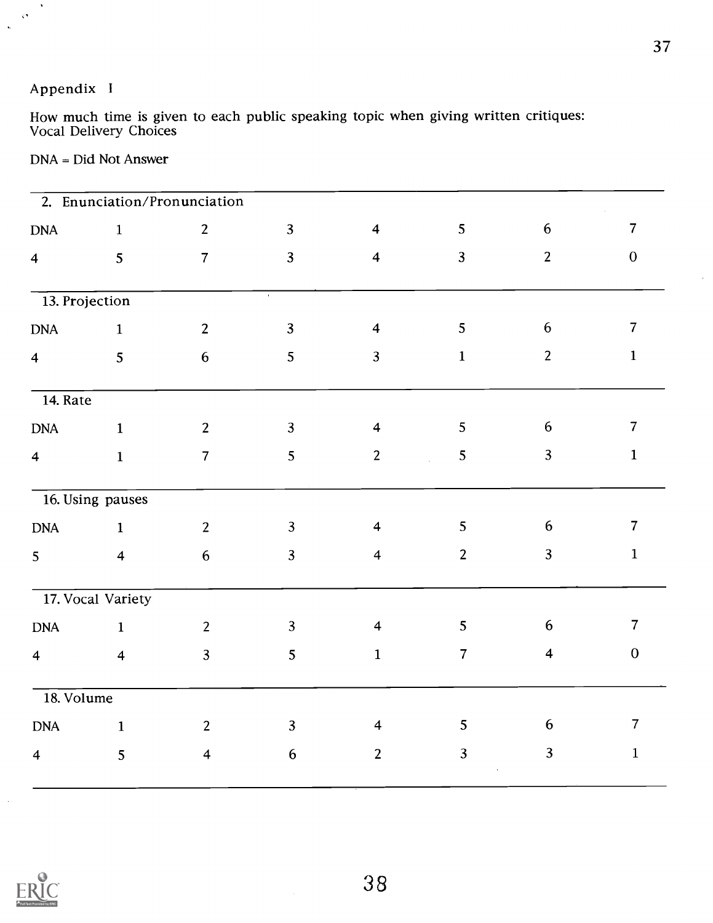## Appendix <sup>I</sup>

 $\lambda$  $\hat{\mathbf{v}}$  $\mathbf{A}$ 

> How much time is given to each public speaking topic when giving written critiques: Vocal Delivery Choices

|  | $DNA = Did Not Answer$ |  |
|--|------------------------|--|
|  |                        |  |

|                               |                         | 2. Enunciation/Pronunciation |                 |                         |                     |                  |                |
|-------------------------------|-------------------------|------------------------------|-----------------|-------------------------|---------------------|------------------|----------------|
| <b>DNA</b>                    | $\mathbf 1$             | $\overline{2}$               | $\overline{3}$  | $\overline{\mathbf{4}}$ | 5                   | $6\phantom{.}6$  | $\overline{7}$ |
| $\overline{\mathbf{4}}$       | 5                       | $\overline{7}$               | $\overline{3}$  | $\overline{\mathbf{4}}$ | $\overline{3}$      | $\overline{2}$   | $\mathbf 0$    |
| 13. Projection                |                         |                              |                 |                         |                     |                  |                |
| <b>DNA</b>                    | $\mathbf{1}$            | $\overline{2}$               | $\overline{3}$  | $\overline{\mathbf{4}}$ | 5                   | $6\,$            | $\overline{7}$ |
| $\overline{4}$                | 5                       | $6\phantom{.}6$              | 5               | $\overline{3}$          | $\mathbf{1}$        | $\overline{2}$   | $\mathbf{1}$   |
| $\overline{14. \text{ Rate}}$ |                         |                              |                 |                         |                     |                  |                |
| <b>DNA</b>                    | $\mathbf{1}$            | $\overline{2}$               | $\overline{3}$  | $\overline{\mathbf{4}}$ | 5                   | $6\phantom{.}6$  | $\overline{7}$ |
| $\overline{\mathbf{4}}$       | $\mathbf{1}$            | $\overline{7}$               | 5               | $\overline{2}$          | 5<br>$\mathbb{R}^2$ | 3                | $\mathbf{1}$   |
|                               | 16. Using pauses        |                              |                 |                         |                     |                  |                |
| <b>DNA</b>                    | $\mathbf{1}$            | $\overline{2}$               | $\overline{3}$  | $\overline{4}$          | 5                   | $\boldsymbol{6}$ | $\overline{7}$ |
| 5                             | $\overline{\mathbf{4}}$ | $6\phantom{.}6$              | $\overline{3}$  | $\overline{\mathbf{4}}$ | $\overline{2}$      | $\overline{3}$   | $\mathbf{1}$   |
|                               | 17. Vocal Variety       |                              |                 |                         |                     |                  |                |
| $\mathbf{DNA}$                | $\mathbf{1}$            | 2                            | $\mathbf{3}$    | $\overline{\mathbf{4}}$ | 5                   | 6                | $\overline{7}$ |
| $\overline{\mathbf{4}}$       | $\overline{\mathbf{4}}$ | $\overline{3}$               | 5               | $\mathbf{1}$            | $\overline{7}$      | $\overline{4}$   | $\mathbf{0}$   |
| 18. Volume                    |                         |                              |                 |                         |                     |                  |                |
| <b>DNA</b>                    | $\mathbf{1}$            | $2^{\circ}$                  | $\overline{3}$  | $\overline{4}$          | 5                   | 6                | $\overline{7}$ |
| $\overline{\mathbf{4}}$       | 5                       | $\overline{\mathbf{4}}$      | $6\phantom{.}6$ | $\overline{2}$          | $\overline{3}$      | $\overline{3}$   | $\mathbf{1}$   |

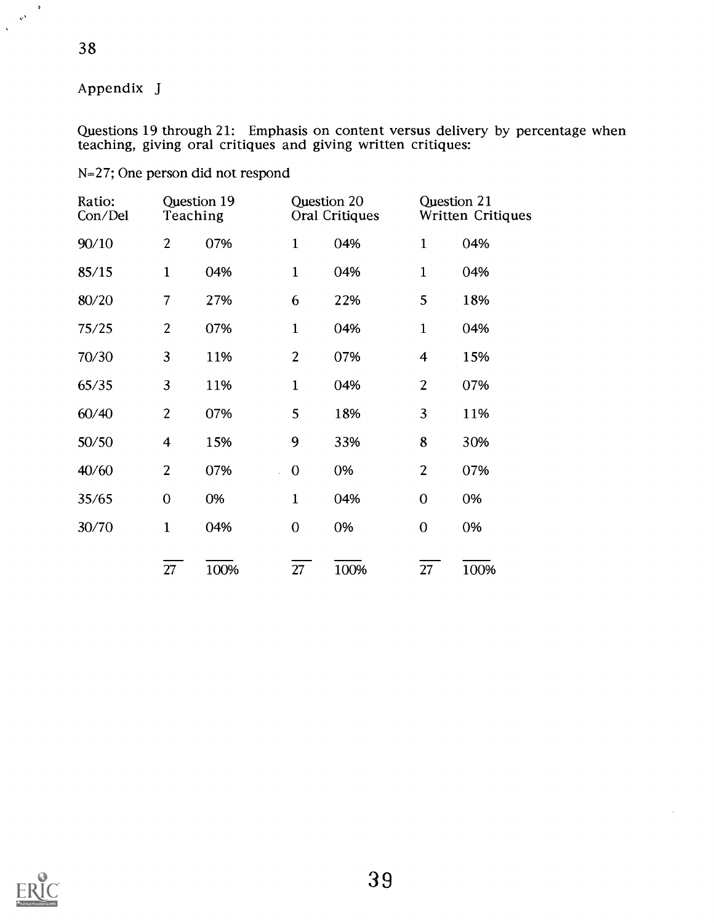### Appendix J

38

 $\frac{1}{2}$   $\frac{1}{2}$ 

Questions 19 through 21: Emphasis on content versus delivery by percentage when teaching, giving oral critiques and giving written critiques:

### N=27; One person did not respond

| Ratio:<br>Con/Del | Question 19<br>Teaching |      | Question 20    | Oral Critiques | Question 21             | <b>Written Critiques</b> |
|-------------------|-------------------------|------|----------------|----------------|-------------------------|--------------------------|
| 90/10             | $\overline{2}$          | 07%  | $\mathbf{1}$   | 04%            | $\mathbf{1}$            | 04%                      |
| 85/15             | $\mathbf{1}$            | 04%  | $\mathbf{1}$   | 04%            | $\mathbf{1}$            | 04%                      |
| 80/20             | $\overline{7}$          | 27%  | 6              | 22%            | 5                       | 18%                      |
| 75/25             | $\overline{2}$          | 07%  | $\mathbf{1}$   | 04%            | $\mathbf{1}$            | 04%                      |
| 70/30             | 3                       | 11%  | $\overline{2}$ | 07%            | $\overline{\mathbf{4}}$ | 15%                      |
| 65/35             | 3                       | 11%  | $\mathbf{1}$   | 04%            | $\overline{2}$          | 07%                      |
| 60/40             | $\overline{2}$          | 07%  | 5              | 18%            | 3                       | 11%                      |
| 50/50             | $\overline{\mathbf{4}}$ | 15%  | 9              | 33%            | 8                       | 30%                      |
| 40/60             | $\overline{2}$          | 07%  | $\mathbf 0$    | 0%             | $\overline{2}$          | 07%                      |
| 35/65             | $\overline{0}$          | 0%   | $\mathbf{1}$   | 04%            | $\overline{0}$          | 0%                       |
| 30/70             | $\mathbf{1}$            | 04%  | $\overline{0}$ | 0%             | $\boldsymbol{0}$        | 0%                       |
|                   | 27                      | 100% | 27             | 100%           | 27                      | 100%                     |

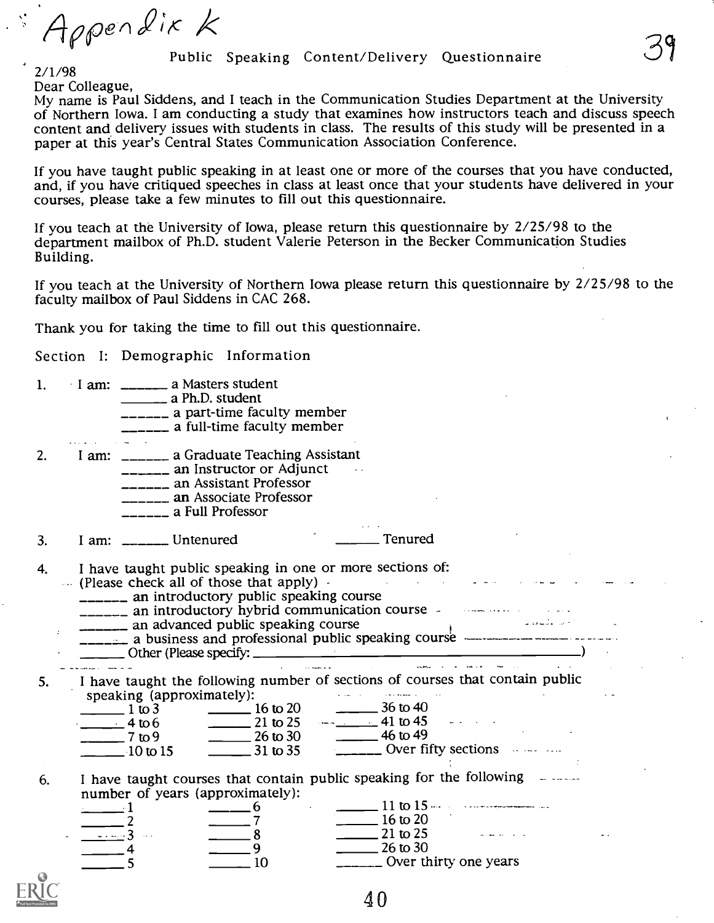Appendix K

#### Public Speaking Content/Delivery Questionnaire

2/1/98<br>Dear Colleague,

My name is Paul Siddens, and I teach in the Communication Studies Department at the University of Northern Iowa. I am conducting a study that examines how instructors teach and discuss speech content and delivery issues with students in class. The results of this study will be presented in a paper at this year's Central States Communication Association Conference.

If you have taught public speaking in at least one or more of the courses that you have conducted, and, if you have critiqued speeches in class at least once that your students have delivered in your courses, please take a

If you teach at the University of Iowa, please return this questionnaire by 2/25/98 to the department mailbox of Ph.D. student Valerie Peterson in the Becker Communication Studies Building.

If you teach at the University of Northern Iowa please return this questionnaire by 2/25/98 to the faculty mailbox of Paul Siddens in CAC 268.

Thank you for taking the time to fill out this questionnaire.

Section I: Demographic Information

| 1. | I am: _________ a Masters student<br>______ a part-time faculty member<br>_____ a full-time faculty member                                                                                                                                                                                                                                                                                                                                                                                                                                                                                                                                     |
|----|------------------------------------------------------------------------------------------------------------------------------------------------------------------------------------------------------------------------------------------------------------------------------------------------------------------------------------------------------------------------------------------------------------------------------------------------------------------------------------------------------------------------------------------------------------------------------------------------------------------------------------------------|
| 2. | I am: ________ a Graduate Teaching Assistant<br>_______ an Instructor or Adjunct<br>_______ an Assistant Professor<br>____ an Associate Professor<br>$\frac{1}{1}$ a Full Professor                                                                                                                                                                                                                                                                                                                                                                                                                                                            |
| 3. | _____ Tenured<br>I am: $\frac{1}{2}$ Untenured                                                                                                                                                                                                                                                                                                                                                                                                                                                                                                                                                                                                 |
| 4. | I have taught public speaking in one or more sections of:<br>(Please check all of those that apply) -<br>_______ an introductory public speaking course<br><b>_______</b> an introductory hybrid communication course and the same of the setting<br>_______ an advanced public speaking course<br><u>_____</u> a business and professional public speaking course ______________________<br>and the company of the company of the company of the company of the company of the company of the company of the company of the company of the company of the company of the company of the company of the company of the comp<br>أأنداء الصاعبان |
| 5. | I have taught the following number of sections of courses that contain public<br>speaking (approximately):<br>mately):<br>16 to 20 36 to 40<br>$\frac{1 \text{ to } 3}{4 \text{ to } 6}$<br>21 to 25 $-$ 41 to 45<br>$\frac{1}{26 \text{ to } 30}$ $\frac{1}{26 \text{ to } 30}$ $\frac{1}{26 \text{ to } 35}$ $\frac{1}{26 \text{ to } 35}$ Over fifty sections<br>$\frac{1}{2}$ to 9<br>$\frac{10 \text{ to } 15}{10 \text{ to } 15}$                                                                                                                                                                                                        |
| 6. | I have taught courses that contain public speaking for the following -<br>number of years (approximately):<br>$11 \text{ to } 15 \dots$<br>6<br>$16 \text{ to } 20$<br>$-7$<br>$\frac{1}{21}$ to 25<br>$\frac{1}{2}$ 8<br>$-1 - 3 - 1$<br>$26 \text{ to } 30$<br>9<br>_____ Over thirty one years<br>10                                                                                                                                                                                                                                                                                                                                        |

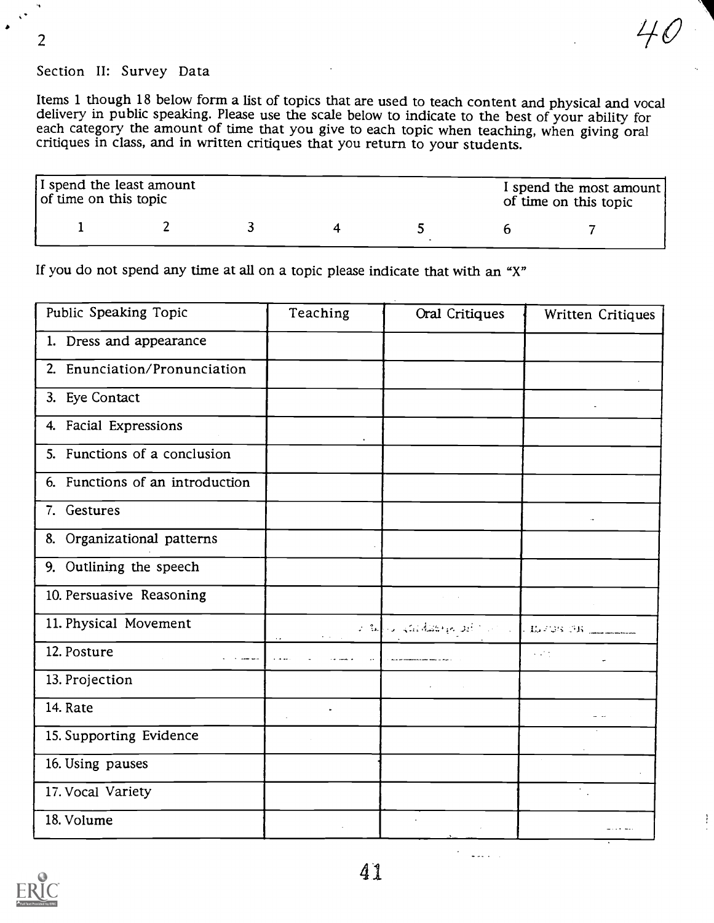2

## Section II: Survey Data

Items 1 though 18 below form a list of topics that are used to teach content and physical and vocal delivery in public speaking. Please use the scale below to indicate to the best of your ability for each category the amount of time that you give to each topic when teaching, when giving oral critiques in class, and in written critiques that you return to your students.

| I spend the least amount<br>of time on this topic |  |  | I spend the most amount  <br>of time on this topic |
|---------------------------------------------------|--|--|----------------------------------------------------|
|                                                   |  |  |                                                    |

If you do not spend any time at all on a topic please indicate that with an "X"

| Public Speaking Topic           | Teaching                | Oral Critiques                                           | Written Critiques           |
|---------------------------------|-------------------------|----------------------------------------------------------|-----------------------------|
| 1. Dress and appearance         |                         |                                                          |                             |
| 2. Enunciation/Pronunciation    |                         |                                                          |                             |
| 3. Eye Contact                  |                         |                                                          |                             |
| 4. Facial Expressions           |                         |                                                          |                             |
| 5. Functions of a conclusion    |                         |                                                          |                             |
| 6. Functions of an introduction |                         |                                                          |                             |
| 7. Gestures                     |                         |                                                          |                             |
| 8. Organizational patterns      |                         |                                                          |                             |
| 9. Outlining the speech         |                         |                                                          |                             |
| 10. Persuasive Reasoning        |                         |                                                          |                             |
| 11. Physical Movement           | $\mathbf{r}=\mathbf{r}$ | ستستسبب فالاناطال والمتابع والمتألف مواطفة تشوا بالمواطئ |                             |
| 12. Posture                     |                         |                                                          | $\sim 10^6$                 |
| 13. Projection                  |                         |                                                          |                             |
| 14. Rate                        | $\blacksquare$          |                                                          |                             |
| 15. Supporting Evidence         |                         |                                                          |                             |
| 16. Using pauses                |                         |                                                          |                             |
| 17. Vocal Variety               |                         |                                                          | $\mathcal{L}_{\mathcal{A}}$ |
| 18. Volume                      |                         |                                                          |                             |
|                                 |                         |                                                          |                             |

41

 $\frac{1}{2}$  ,  $\frac{1}{2}$  ,  $\frac{1}{2}$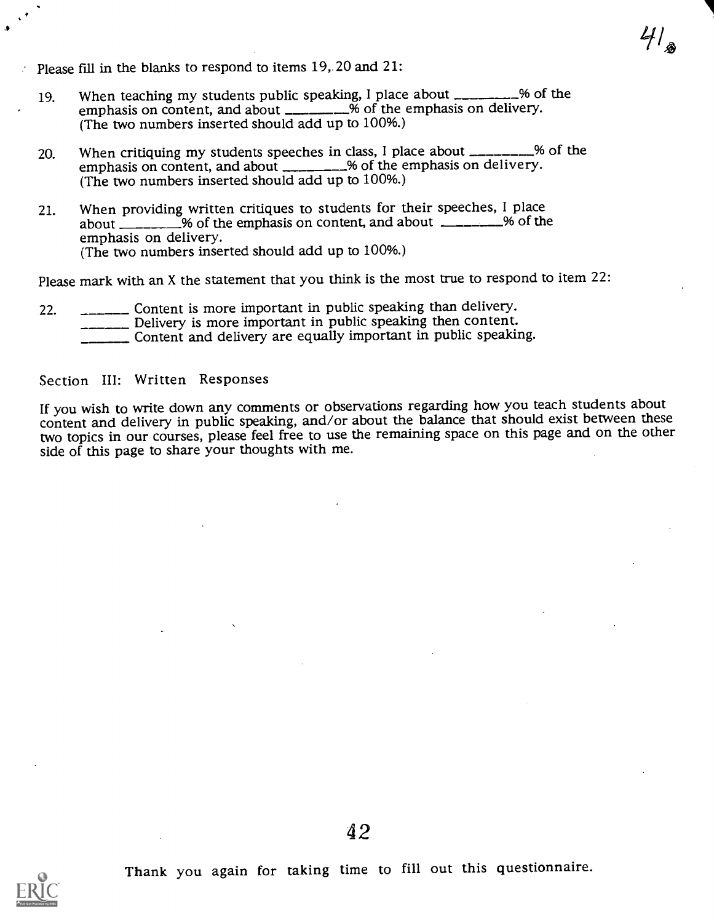Please fill in the blanks to respond to items  $19$ , 20 and  $21$ :

19. When teaching my students public speaking, I place about \_\_\_\_\_\_\_\_\_% of the emphasis on content, and about  $\frac{1}{2}$  of the emphasis on delivery. (The two numbers inserted should add up to 100%.)

 $4\frac{1}{2}$ 

- 20. When critiquing my students speeches in class, I place about \_\_\_\_\_\_\_% of the emphasis on content, and about \_\_\_\_\_\_\_\_\_% of the emphasis on delivery. (The two numbers inserted should add up to 100%.)
- 21. When providing written critiques to students for their speeches, I place about  $\_\_\_\_\_\_\$ % of the emphasis on content, and about  $\_\_\_\_\_\_\_$ % of the emphasis on delivery. (The two numbers inserted should add up to 100%.)

Please mark with an X the statement that you think is the most true to respond to item 22:

- 22. \_\_\_\_\_\_\_\_\_ Content is more important in public speaking than delivery.<br>\_\_\_\_\_\_\_\_\_\_ Delivery is more important in public speaking then content.
	-
	- **Content and delivery are equally important in public speaking.**

#### Section III: Written Responses

If you wish to write down any comments or observations regarding how you teach students about content and delivery in public speaking, and/or about the balance that should exist between these two topics in our courses, please feel free to use the remaining space on this page and on the other side of this page to share your thoughts with me.

Thank you again for taking time to fill out this questionnaire.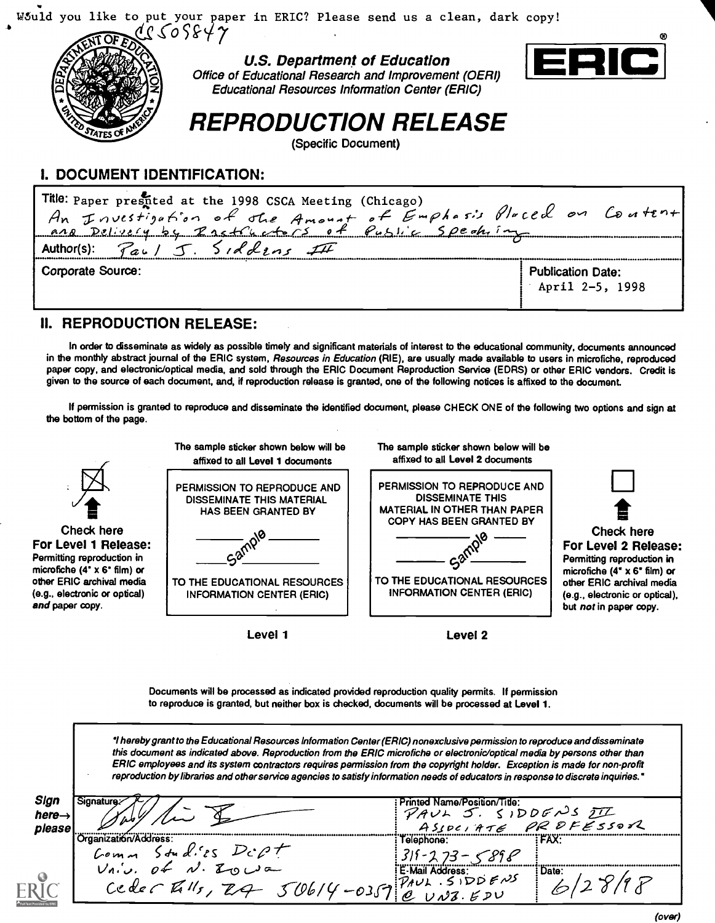

#### I. DOCUMENT IDENTIFICATION:

| Title: Paper prestited at the 1998 CSCA Meeting (Chicago)<br>An Investigation of the Amount of Emphasis Placed on Content |                                                |
|---------------------------------------------------------------------------------------------------------------------------|------------------------------------------------|
| Author(s): $\sqrt{a}u/\sqrt{J}$ . Siddins III                                                                             |                                                |
| Corporate Source:                                                                                                         | <b>Publication Date:</b><br>April $2-5$ , 1998 |

#### II. REPRODUCTION RELEASE:

In order to disseminate as widely as possible timely and significant materials of interest to the educational community, documents announced in the monthly abstract journal of the ERIC system, Resources in Education (RIE), are usually made available to users in microfiche, reproduced paper copy, and electronic/optical media, and sold through the ERIC Document Reproduction Service (EDRS) or other ERIC vendors. Credit is given to the source of each document, and, if reproduction release is granted, one of the following notices is affixed to the document.

If permission is granted to reproduce and disseminate the identified document, please CHECK ONE of the following two options and sign at the bottom of the page.



Level 1

Documents will be processed as indicated provided reproduction quality permits. If permission to reproduce is granted, but neither box is checked, documents will be processed at Level 1.

hereby grant to the Educational Resources Information Center (ERIC) nonexclusive permission to reproduce and disseminate this document as indicated above. Reproduction from the ERIC microfiche or electronic/optical media by persons other than ERIC employees and its system contractors requires permission from the copyright holder. Exception is made for non-profit reproduction by libraries and other service agencies to satisfy information needs of educators in response to discrete inquiries."

| Sign<br>nere—<br>please | sianature.                                     | Printed Name/Position/Title:<br>PAUL J. SIDDENS II<br>ASSOCIATE PROFESSOR |       |
|-------------------------|------------------------------------------------|---------------------------------------------------------------------------|-------|
|                         | :Drɑanizati6n/Address                          | Telephone:                                                                | FAX:  |
|                         | Stud. 25 $D\dot{c}\rho\dot{\tau}$<br>Lom       |                                                                           |       |
|                         | $Vn\omega$ , of $N\cdot \mathbb{Z}$ $\omega$ a | E-Mail Address:                                                           | Date: |
|                         | Ceder Valls, ZA                                | $50614 - 0357$ PAUL SIDDENS                                               |       |